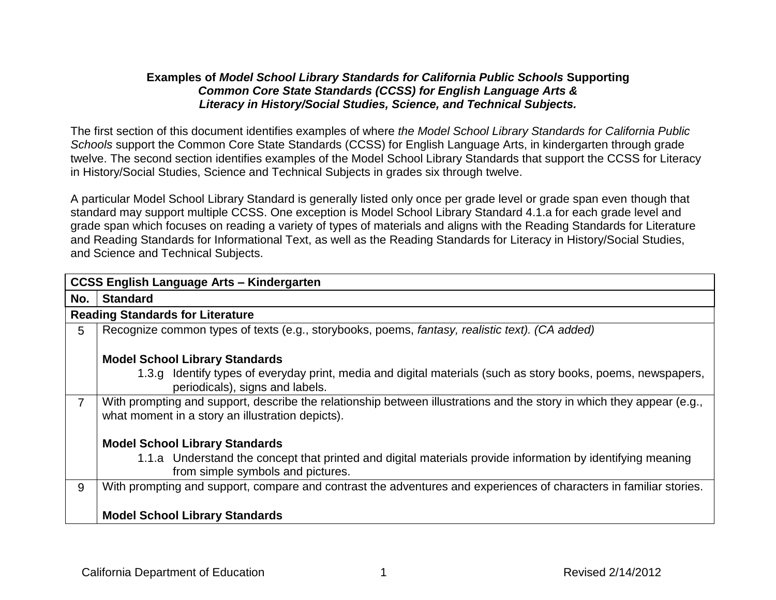#### **Examples of** *Model School Library Standards for California Public Schools* **Supporting**  *Common Core State Standards (CCSS) for English Language Arts & Literacy in History/Social Studies, Science, and Technical Subjects.*

The first section of this document identifies examples of where *the Model School Library Standards for California Public Schools* support the Common Core State Standards (CCSS) for English Language Arts, in kindergarten through grade twelve. The second section identifies examples of the Model School Library Standards that support the CCSS for Literacy in History/Social Studies, Science and Technical Subjects in grades six through twelve.

A particular Model School Library Standard is generally listed only once per grade level or grade span even though that standard may support multiple CCSS. One exception is Model School Library Standard 4.1.a for each grade level and grade span which focuses on reading a variety of types of materials and aligns with the Reading Standards for Literature and Reading Standards for Informational Text, as well as the Reading Standards for Literacy in History/Social Studies, and Science and Technical Subjects.

|                | <b>CCSS English Language Arts - Kindergarten</b>                                                                                                                          |  |
|----------------|---------------------------------------------------------------------------------------------------------------------------------------------------------------------------|--|
| No.            | <b>Standard</b>                                                                                                                                                           |  |
|                | <b>Reading Standards for Literature</b>                                                                                                                                   |  |
| 5              | Recognize common types of texts (e.g., storybooks, poems, fantasy, realistic text). (CA added)                                                                            |  |
|                | <b>Model School Library Standards</b>                                                                                                                                     |  |
|                | 1.3.g Identify types of everyday print, media and digital materials (such as story books, poems, newspapers,<br>periodicals), signs and labels.                           |  |
| $\overline{7}$ | With prompting and support, describe the relationship between illustrations and the story in which they appear (e.g.,<br>what moment in a story an illustration depicts). |  |
|                | <b>Model School Library Standards</b>                                                                                                                                     |  |
|                | 1.1.a Understand the concept that printed and digital materials provide information by identifying meaning<br>from simple symbols and pictures.                           |  |
| 9              | With prompting and support, compare and contrast the adventures and experiences of characters in familiar stories.                                                        |  |
|                | <b>Model School Library Standards</b>                                                                                                                                     |  |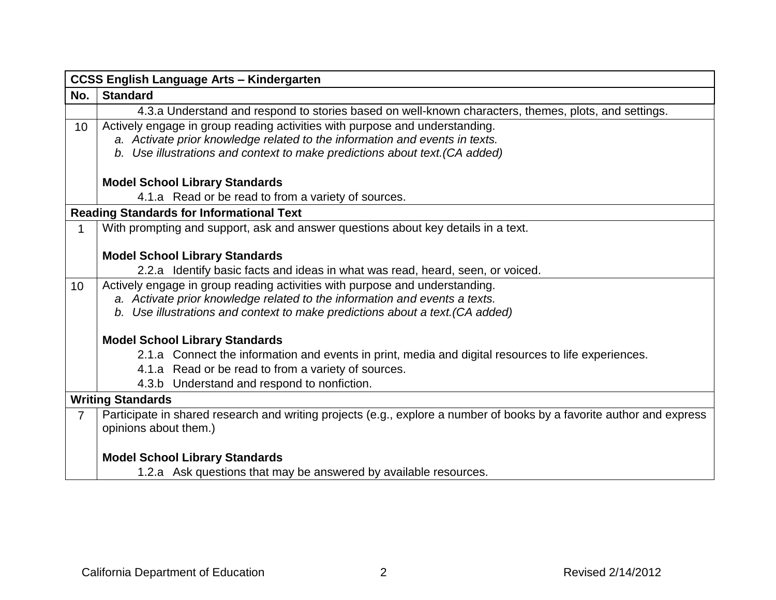|                 | <b>CCSS English Language Arts - Kindergarten</b>                                                                      |  |
|-----------------|-----------------------------------------------------------------------------------------------------------------------|--|
| No.             | <b>Standard</b>                                                                                                       |  |
|                 | 4.3.a Understand and respond to stories based on well-known characters, themes, plots, and settings.                  |  |
| 10              | Actively engage in group reading activities with purpose and understanding.                                           |  |
|                 | a. Activate prior knowledge related to the information and events in texts.                                           |  |
|                 | b. Use illustrations and context to make predictions about text. (CA added)                                           |  |
|                 | <b>Model School Library Standards</b>                                                                                 |  |
|                 | 4.1.a Read or be read to from a variety of sources.                                                                   |  |
|                 | <b>Reading Standards for Informational Text</b>                                                                       |  |
|                 | With prompting and support, ask and answer questions about key details in a text.                                     |  |
|                 |                                                                                                                       |  |
|                 | <b>Model School Library Standards</b>                                                                                 |  |
|                 | 2.2.a Identify basic facts and ideas in what was read, heard, seen, or voiced.                                        |  |
| 10 <sup>°</sup> | Actively engage in group reading activities with purpose and understanding.                                           |  |
|                 | a. Activate prior knowledge related to the information and events a texts.                                            |  |
|                 | b. Use illustrations and context to make predictions about a text. (CA added)                                         |  |
|                 | <b>Model School Library Standards</b>                                                                                 |  |
|                 | 2.1.a Connect the information and events in print, media and digital resources to life experiences.                   |  |
|                 | 4.1.a Read or be read to from a variety of sources.                                                                   |  |
|                 | 4.3.b Understand and respond to nonfiction.                                                                           |  |
|                 | <b>Writing Standards</b>                                                                                              |  |
| $\overline{7}$  | Participate in shared research and writing projects (e.g., explore a number of books by a favorite author and express |  |
|                 | opinions about them.)                                                                                                 |  |
|                 |                                                                                                                       |  |
|                 | <b>Model School Library Standards</b>                                                                                 |  |
|                 | 1.2.a Ask questions that may be answered by available resources.                                                      |  |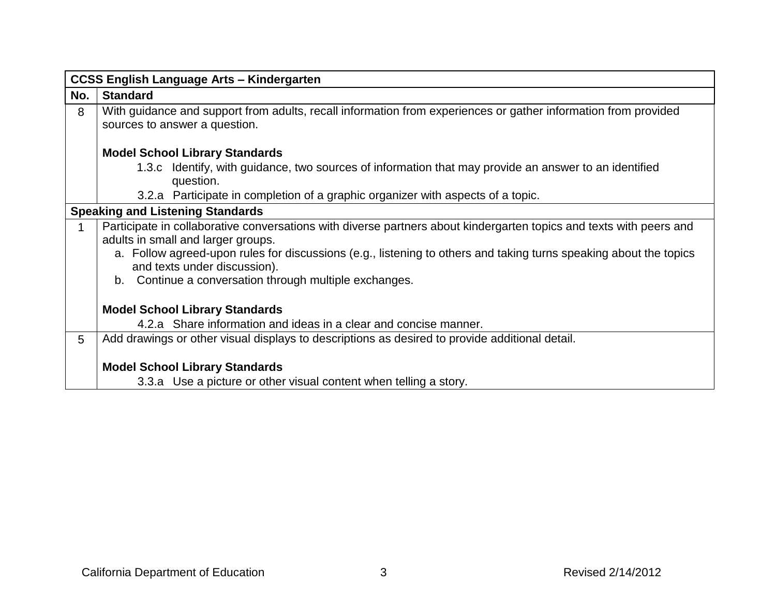|     | <b>CCSS English Language Arts - Kindergarten</b>                                                                                                                                                                                                                                                                                                                            |
|-----|-----------------------------------------------------------------------------------------------------------------------------------------------------------------------------------------------------------------------------------------------------------------------------------------------------------------------------------------------------------------------------|
| No. | <b>Standard</b>                                                                                                                                                                                                                                                                                                                                                             |
| 8   | With guidance and support from adults, recall information from experiences or gather information from provided<br>sources to answer a question.                                                                                                                                                                                                                             |
|     | <b>Model School Library Standards</b>                                                                                                                                                                                                                                                                                                                                       |
|     | 1.3.c Identify, with guidance, two sources of information that may provide an answer to an identified<br>question.                                                                                                                                                                                                                                                          |
|     | 3.2.a Participate in completion of a graphic organizer with aspects of a topic.                                                                                                                                                                                                                                                                                             |
|     | <b>Speaking and Listening Standards</b>                                                                                                                                                                                                                                                                                                                                     |
|     | Participate in collaborative conversations with diverse partners about kindergarten topics and texts with peers and<br>adults in small and larger groups.<br>a. Follow agreed-upon rules for discussions (e.g., listening to others and taking turns speaking about the topics<br>and texts under discussion).<br>Continue a conversation through multiple exchanges.<br>b. |
|     | <b>Model School Library Standards</b>                                                                                                                                                                                                                                                                                                                                       |
|     | 4.2.a Share information and ideas in a clear and concise manner.                                                                                                                                                                                                                                                                                                            |
| 5   | Add drawings or other visual displays to descriptions as desired to provide additional detail.                                                                                                                                                                                                                                                                              |
|     | <b>Model School Library Standards</b>                                                                                                                                                                                                                                                                                                                                       |
|     | 3.3.a Use a picture or other visual content when telling a story.                                                                                                                                                                                                                                                                                                           |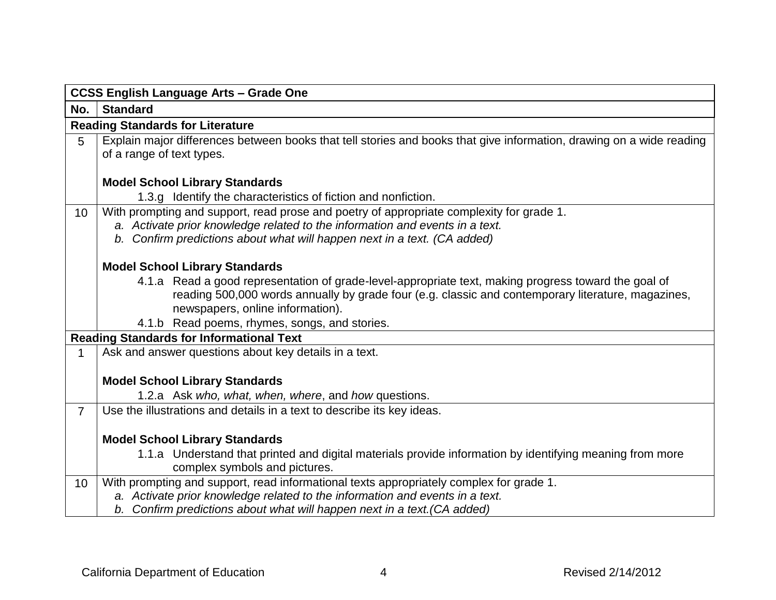|                | <b>CCSS English Language Arts - Grade One</b>                                                                                                                                                                                                                                                   |  |
|----------------|-------------------------------------------------------------------------------------------------------------------------------------------------------------------------------------------------------------------------------------------------------------------------------------------------|--|
| No.            | <b>Standard</b>                                                                                                                                                                                                                                                                                 |  |
|                | <b>Reading Standards for Literature</b>                                                                                                                                                                                                                                                         |  |
| 5              | Explain major differences between books that tell stories and books that give information, drawing on a wide reading<br>of a range of text types.                                                                                                                                               |  |
|                | <b>Model School Library Standards</b>                                                                                                                                                                                                                                                           |  |
|                | 1.3.g Identify the characteristics of fiction and nonfiction.                                                                                                                                                                                                                                   |  |
| 10             | With prompting and support, read prose and poetry of appropriate complexity for grade 1.<br>a. Activate prior knowledge related to the information and events in a text.<br>b. Confirm predictions about what will happen next in a text. (CA added)                                            |  |
|                | <b>Model School Library Standards</b>                                                                                                                                                                                                                                                           |  |
|                | 4.1.a Read a good representation of grade-level-appropriate text, making progress toward the goal of<br>reading 500,000 words annually by grade four (e.g. classic and contemporary literature, magazines,<br>newspapers, online information).<br>4.1.b Read poems, rhymes, songs, and stories. |  |
|                | <b>Reading Standards for Informational Text</b>                                                                                                                                                                                                                                                 |  |
|                | Ask and answer questions about key details in a text.                                                                                                                                                                                                                                           |  |
|                |                                                                                                                                                                                                                                                                                                 |  |
|                | <b>Model School Library Standards</b>                                                                                                                                                                                                                                                           |  |
|                | 1.2.a Ask who, what, when, where, and how questions.                                                                                                                                                                                                                                            |  |
| $\overline{7}$ | Use the illustrations and details in a text to describe its key ideas.                                                                                                                                                                                                                          |  |
|                | <b>Model School Library Standards</b><br>1.1.a Understand that printed and digital materials provide information by identifying meaning from more<br>complex symbols and pictures.                                                                                                              |  |
| 10             | With prompting and support, read informational texts appropriately complex for grade 1.                                                                                                                                                                                                         |  |
|                | a. Activate prior knowledge related to the information and events in a text.<br>b. Confirm predictions about what will happen next in a text. (CA added)                                                                                                                                        |  |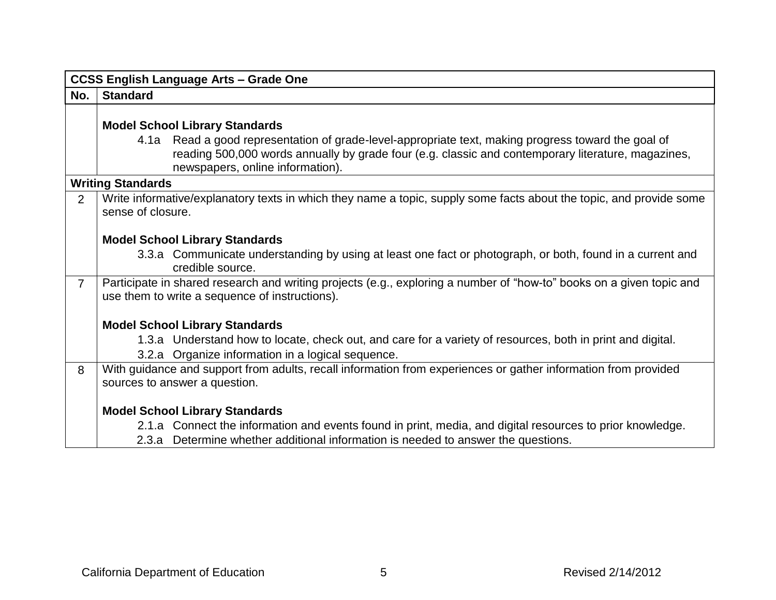|                | <b>CCSS English Language Arts - Grade One</b>                                                                                                                                                                                                 |
|----------------|-----------------------------------------------------------------------------------------------------------------------------------------------------------------------------------------------------------------------------------------------|
| No.            | <b>Standard</b>                                                                                                                                                                                                                               |
|                |                                                                                                                                                                                                                                               |
|                | <b>Model School Library Standards</b>                                                                                                                                                                                                         |
|                | 4.1a Read a good representation of grade-level-appropriate text, making progress toward the goal of<br>reading 500,000 words annually by grade four (e.g. classic and contemporary literature, magazines,<br>newspapers, online information). |
|                | <b>Writing Standards</b>                                                                                                                                                                                                                      |
| 2              | Write informative/explanatory texts in which they name a topic, supply some facts about the topic, and provide some<br>sense of closure.                                                                                                      |
|                | <b>Model School Library Standards</b>                                                                                                                                                                                                         |
|                | 3.3.a Communicate understanding by using at least one fact or photograph, or both, found in a current and<br>credible source.                                                                                                                 |
| $\overline{7}$ | Participate in shared research and writing projects (e.g., exploring a number of "how-to" books on a given topic and<br>use them to write a sequence of instructions).                                                                        |
|                | <b>Model School Library Standards</b>                                                                                                                                                                                                         |
|                | 1.3.a Understand how to locate, check out, and care for a variety of resources, both in print and digital.<br>3.2.a Organize information in a logical sequence.                                                                               |
| 8              | With guidance and support from adults, recall information from experiences or gather information from provided<br>sources to answer a question.                                                                                               |
|                | <b>Model School Library Standards</b>                                                                                                                                                                                                         |
|                | 2.1.a Connect the information and events found in print, media, and digital resources to prior knowledge.                                                                                                                                     |
|                | 2.3.a Determine whether additional information is needed to answer the questions.                                                                                                                                                             |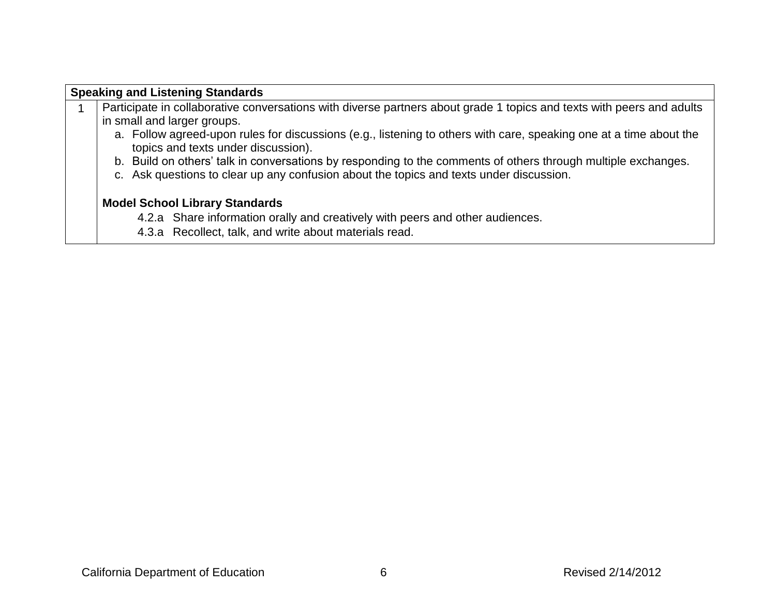# **Speaking and Listening Standards** 1 | Participate in collaborative conversations with diverse partners about grade 1 topics and texts with peers and adults in small and larger groups. a. Follow agreed-upon rules for discussions (e.g., listening to others with care, speaking one at a time about the topics and texts under discussion). b. Build on others' talk in conversations by responding to the comments of others through multiple exchanges. c. Ask questions to clear up any confusion about the topics and texts under discussion. **Model School Library Standards**  4.2.a Share information orally and creatively with peers and other audiences. 4.3.a Recollect, talk, and write about materials read.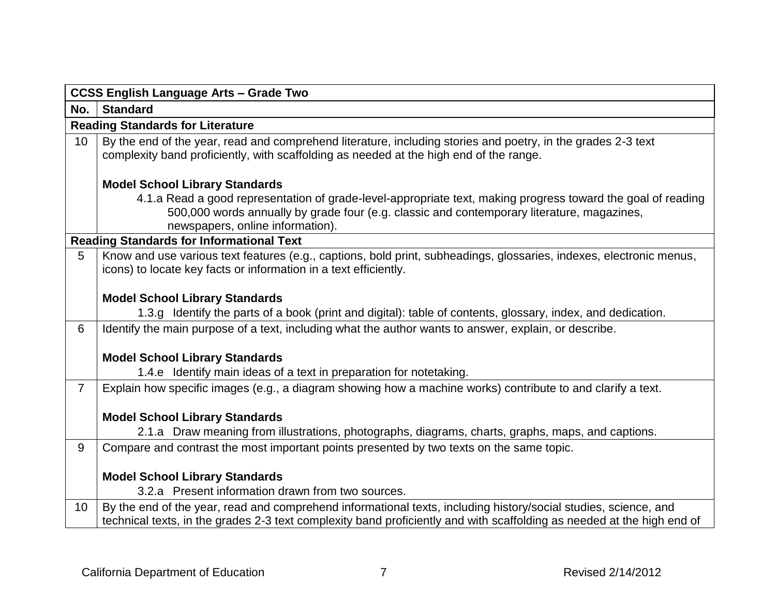|                | <b>CCSS English Language Arts - Grade Two</b>                                                                                                                                                                                                  |
|----------------|------------------------------------------------------------------------------------------------------------------------------------------------------------------------------------------------------------------------------------------------|
| No.            | <b>Standard</b>                                                                                                                                                                                                                                |
|                | <b>Reading Standards for Literature</b>                                                                                                                                                                                                        |
| 10             | By the end of the year, read and comprehend literature, including stories and poetry, in the grades 2-3 text<br>complexity band proficiently, with scaffolding as needed at the high end of the range.                                         |
|                | <b>Model School Library Standards</b>                                                                                                                                                                                                          |
|                | 4.1.a Read a good representation of grade-level-appropriate text, making progress toward the goal of reading<br>500,000 words annually by grade four (e.g. classic and contemporary literature, magazines,<br>newspapers, online information). |
|                | <b>Reading Standards for Informational Text</b>                                                                                                                                                                                                |
| 5              | Know and use various text features (e.g., captions, bold print, subheadings, glossaries, indexes, electronic menus,<br>icons) to locate key facts or information in a text efficiently.                                                        |
|                | <b>Model School Library Standards</b>                                                                                                                                                                                                          |
|                | 1.3.g Identify the parts of a book (print and digital): table of contents, glossary, index, and dedication.                                                                                                                                    |
| 6              | Identify the main purpose of a text, including what the author wants to answer, explain, or describe.                                                                                                                                          |
|                | <b>Model School Library Standards</b>                                                                                                                                                                                                          |
|                | 1.4.e Identify main ideas of a text in preparation for notetaking.                                                                                                                                                                             |
| $\overline{7}$ | Explain how specific images (e.g., a diagram showing how a machine works) contribute to and clarify a text.                                                                                                                                    |
|                | <b>Model School Library Standards</b>                                                                                                                                                                                                          |
|                | 2.1.a Draw meaning from illustrations, photographs, diagrams, charts, graphs, maps, and captions.                                                                                                                                              |
| 9              | Compare and contrast the most important points presented by two texts on the same topic.                                                                                                                                                       |
|                |                                                                                                                                                                                                                                                |
|                | <b>Model School Library Standards</b>                                                                                                                                                                                                          |
|                | 3.2.a Present information drawn from two sources.                                                                                                                                                                                              |
| 10             | By the end of the year, read and comprehend informational texts, including history/social studies, science, and<br>technical texts, in the grades 2-3 text complexity band proficiently and with scaffolding as needed at the high end of      |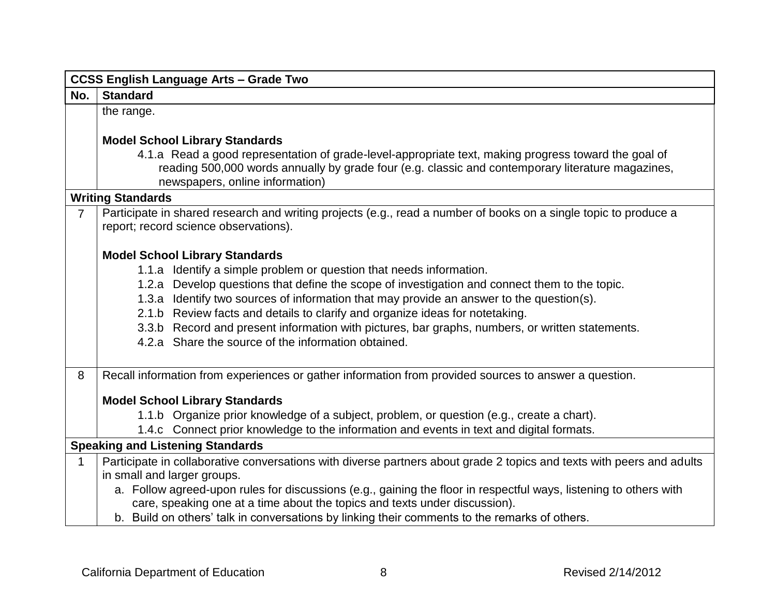|                | <b>CCSS English Language Arts - Grade Two</b>                                                                                                                                                                                                |  |
|----------------|----------------------------------------------------------------------------------------------------------------------------------------------------------------------------------------------------------------------------------------------|--|
| No.            | <b>Standard</b>                                                                                                                                                                                                                              |  |
|                | the range.                                                                                                                                                                                                                                   |  |
|                |                                                                                                                                                                                                                                              |  |
|                | <b>Model School Library Standards</b>                                                                                                                                                                                                        |  |
|                | 4.1.a Read a good representation of grade-level-appropriate text, making progress toward the goal of<br>reading 500,000 words annually by grade four (e.g. classic and contemporary literature magazines,<br>newspapers, online information) |  |
|                | <b>Writing Standards</b>                                                                                                                                                                                                                     |  |
| $\overline{7}$ | Participate in shared research and writing projects (e.g., read a number of books on a single topic to produce a<br>report; record science observations).                                                                                    |  |
|                | <b>Model School Library Standards</b>                                                                                                                                                                                                        |  |
|                | 1.1.a Identify a simple problem or question that needs information.                                                                                                                                                                          |  |
|                | 1.2.a Develop questions that define the scope of investigation and connect them to the topic.                                                                                                                                                |  |
|                | 1.3.a Identify two sources of information that may provide an answer to the question(s).                                                                                                                                                     |  |
|                | 2.1.b Review facts and details to clarify and organize ideas for notetaking.                                                                                                                                                                 |  |
|                | 3.3.b Record and present information with pictures, bar graphs, numbers, or written statements.                                                                                                                                              |  |
|                | 4.2.a Share the source of the information obtained.                                                                                                                                                                                          |  |
| 8              | Recall information from experiences or gather information from provided sources to answer a question.                                                                                                                                        |  |
|                | <b>Model School Library Standards</b>                                                                                                                                                                                                        |  |
|                | 1.1.b Organize prior knowledge of a subject, problem, or question (e.g., create a chart).                                                                                                                                                    |  |
|                | 1.4.c Connect prior knowledge to the information and events in text and digital formats.                                                                                                                                                     |  |
|                | <b>Speaking and Listening Standards</b>                                                                                                                                                                                                      |  |
| 1              | Participate in collaborative conversations with diverse partners about grade 2 topics and texts with peers and adults                                                                                                                        |  |
|                | in small and larger groups.                                                                                                                                                                                                                  |  |
|                | a. Follow agreed-upon rules for discussions (e.g., gaining the floor in respectful ways, listening to others with                                                                                                                            |  |
|                | care, speaking one at a time about the topics and texts under discussion).                                                                                                                                                                   |  |
|                | b. Build on others' talk in conversations by linking their comments to the remarks of others.                                                                                                                                                |  |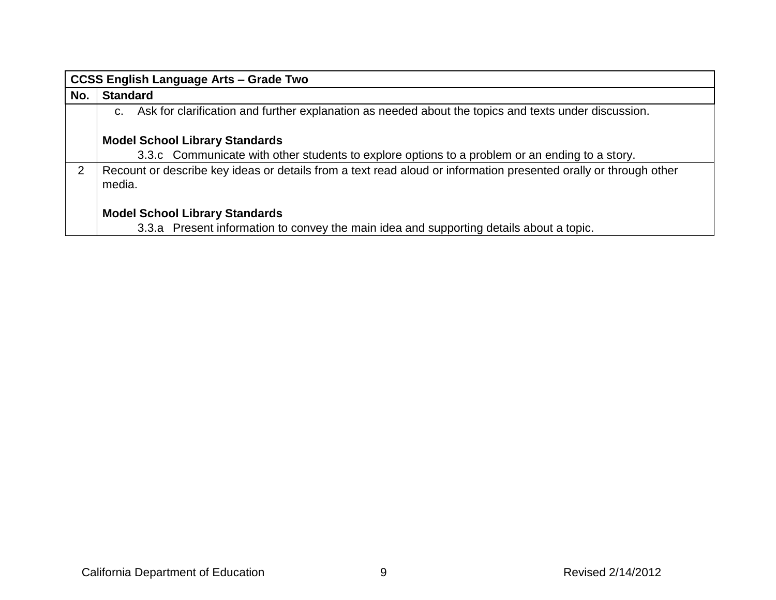|               | <b>CCSS English Language Arts - Grade Two</b>                                                                                    |  |
|---------------|----------------------------------------------------------------------------------------------------------------------------------|--|
| No.           | <b>Standard</b>                                                                                                                  |  |
|               | Ask for clarification and further explanation as needed about the topics and texts under discussion.<br>C.                       |  |
|               | <b>Model School Library Standards</b>                                                                                            |  |
|               | 3.3.c Communicate with other students to explore options to a problem or an ending to a story.                                   |  |
| $\mathcal{P}$ | Recount or describe key ideas or details from a text read aloud or information presented orally or through other<br>media.       |  |
|               | <b>Model School Library Standards</b><br>3.3.a Present information to convey the main idea and supporting details about a topic. |  |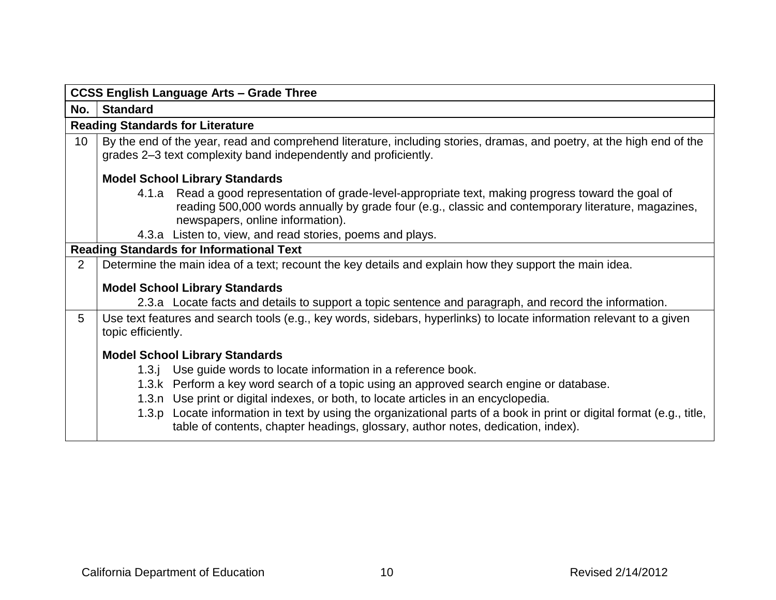|     | <b>CCSS English Language Arts - Grade Three</b>                                                                                                                                                                                                 |
|-----|-------------------------------------------------------------------------------------------------------------------------------------------------------------------------------------------------------------------------------------------------|
| No. | <b>Standard</b>                                                                                                                                                                                                                                 |
|     | <b>Reading Standards for Literature</b>                                                                                                                                                                                                         |
| 10  | By the end of the year, read and comprehend literature, including stories, dramas, and poetry, at the high end of the<br>grades 2–3 text complexity band independently and proficiently.                                                        |
|     | <b>Model School Library Standards</b>                                                                                                                                                                                                           |
|     | 4.1.a Read a good representation of grade-level-appropriate text, making progress toward the goal of<br>reading 500,000 words annually by grade four (e.g., classic and contemporary literature, magazines,<br>newspapers, online information). |
|     | 4.3.a Listen to, view, and read stories, poems and plays.                                                                                                                                                                                       |
|     | <b>Reading Standards for Informational Text</b>                                                                                                                                                                                                 |
| 2   | Determine the main idea of a text; recount the key details and explain how they support the main idea.                                                                                                                                          |
|     | <b>Model School Library Standards</b>                                                                                                                                                                                                           |
|     | 2.3.a Locate facts and details to support a topic sentence and paragraph, and record the information.                                                                                                                                           |
| 5   | Use text features and search tools (e.g., key words, sidebars, hyperlinks) to locate information relevant to a given<br>topic efficiently.                                                                                                      |
|     | <b>Model School Library Standards</b>                                                                                                                                                                                                           |
|     | 1.3.j Use guide words to locate information in a reference book.                                                                                                                                                                                |
|     | 1.3.k Perform a key word search of a topic using an approved search engine or database.                                                                                                                                                         |
|     | 1.3.n Use print or digital indexes, or both, to locate articles in an encyclopedia.                                                                                                                                                             |
|     | 1.3.p Locate information in text by using the organizational parts of a book in print or digital format (e.g., title,<br>table of contents, chapter headings, glossary, author notes, dedication, index).                                       |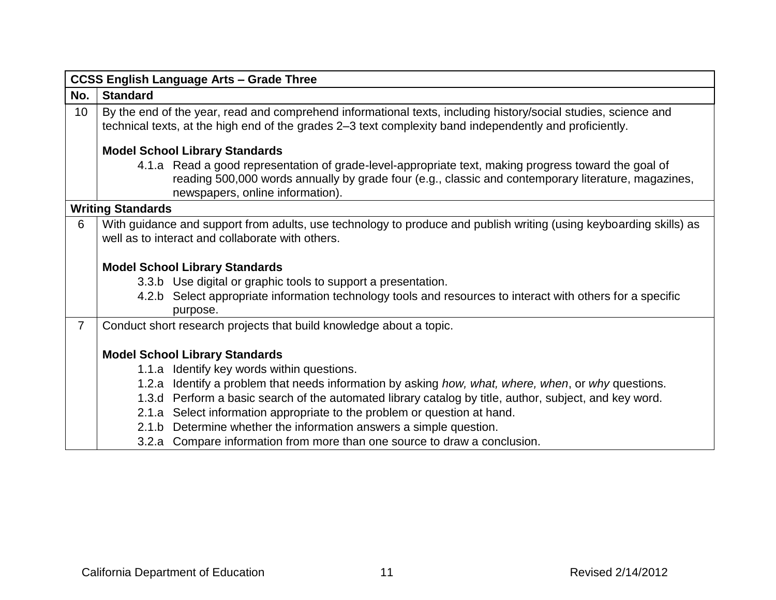|                 | <b>CCSS English Language Arts - Grade Three</b>                                                                                                                                                                                                                                                                                                                                                                                                                                                                                     |
|-----------------|-------------------------------------------------------------------------------------------------------------------------------------------------------------------------------------------------------------------------------------------------------------------------------------------------------------------------------------------------------------------------------------------------------------------------------------------------------------------------------------------------------------------------------------|
| No.             | <b>Standard</b>                                                                                                                                                                                                                                                                                                                                                                                                                                                                                                                     |
| 10 <sup>°</sup> | By the end of the year, read and comprehend informational texts, including history/social studies, science and<br>technical texts, at the high end of the grades 2–3 text complexity band independently and proficiently.                                                                                                                                                                                                                                                                                                           |
|                 | <b>Model School Library Standards</b>                                                                                                                                                                                                                                                                                                                                                                                                                                                                                               |
|                 | 4.1.a Read a good representation of grade-level-appropriate text, making progress toward the goal of<br>reading 500,000 words annually by grade four (e.g., classic and contemporary literature, magazines,<br>newspapers, online information).                                                                                                                                                                                                                                                                                     |
|                 | <b>Writing Standards</b>                                                                                                                                                                                                                                                                                                                                                                                                                                                                                                            |
| 6               | With guidance and support from adults, use technology to produce and publish writing (using keyboarding skills) as<br>well as to interact and collaborate with others.                                                                                                                                                                                                                                                                                                                                                              |
|                 | <b>Model School Library Standards</b>                                                                                                                                                                                                                                                                                                                                                                                                                                                                                               |
|                 | 3.3.b Use digital or graphic tools to support a presentation.                                                                                                                                                                                                                                                                                                                                                                                                                                                                       |
|                 | 4.2.b Select appropriate information technology tools and resources to interact with others for a specific<br>purpose.                                                                                                                                                                                                                                                                                                                                                                                                              |
| $\overline{7}$  | Conduct short research projects that build knowledge about a topic.                                                                                                                                                                                                                                                                                                                                                                                                                                                                 |
|                 | <b>Model School Library Standards</b><br>1.1.a Identify key words within questions.<br>1.2.a Identify a problem that needs information by asking how, what, where, when, or why questions.<br>1.3.d Perform a basic search of the automated library catalog by title, author, subject, and key word.<br>2.1.a Select information appropriate to the problem or question at hand.<br>2.1.b Determine whether the information answers a simple question.<br>3.2.a Compare information from more than one source to draw a conclusion. |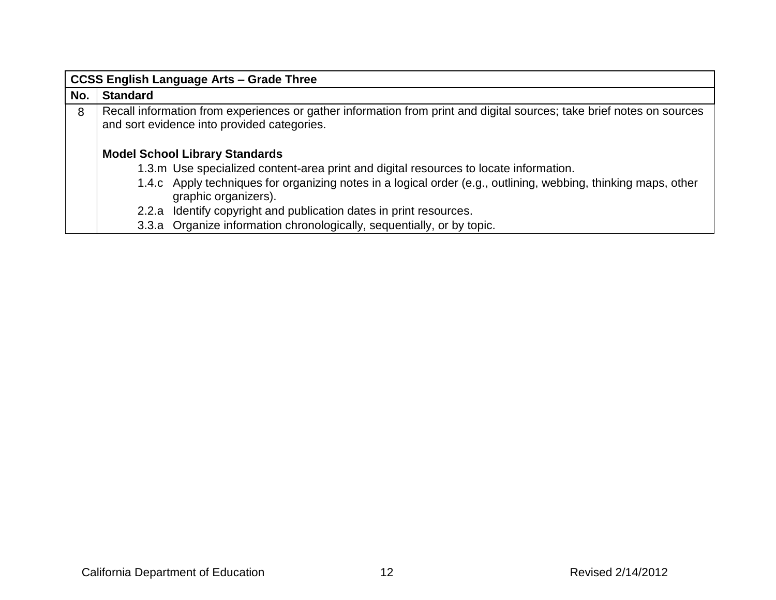|     | <b>CCSS English Language Arts - Grade Three</b>                                                                                                                                                                                                                                                                                                                                                                          |
|-----|--------------------------------------------------------------------------------------------------------------------------------------------------------------------------------------------------------------------------------------------------------------------------------------------------------------------------------------------------------------------------------------------------------------------------|
| No. | <b>Standard</b>                                                                                                                                                                                                                                                                                                                                                                                                          |
| 8   | Recall information from experiences or gather information from print and digital sources; take brief notes on sources<br>and sort evidence into provided categories.                                                                                                                                                                                                                                                     |
|     | <b>Model School Library Standards</b><br>1.3.m Use specialized content-area print and digital resources to locate information.<br>1.4.c Apply techniques for organizing notes in a logical order (e.g., outlining, webbing, thinking maps, other<br>graphic organizers).<br>2.2.a Identify copyright and publication dates in print resources.<br>3.3.a Organize information chronologically, sequentially, or by topic. |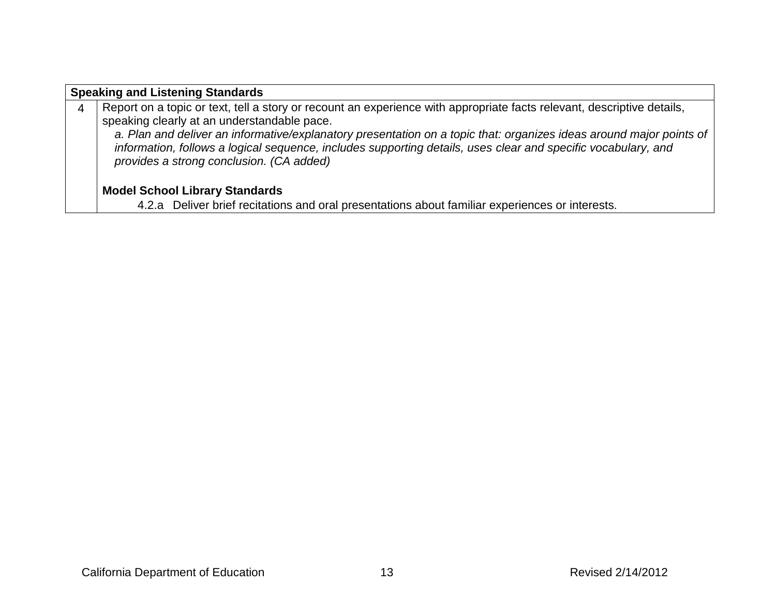|   | <b>Speaking and Listening Standards</b>                                                                                                                   |  |
|---|-----------------------------------------------------------------------------------------------------------------------------------------------------------|--|
| 4 | Report on a topic or text, tell a story or recount an experience with appropriate facts relevant, descriptive details,                                    |  |
|   | speaking clearly at an understandable pace.                                                                                                               |  |
|   | a. Plan and deliver an informative/explanatory presentation on a topic that: organizes ideas around major points of                                       |  |
|   | information, follows a logical sequence, includes supporting details, uses clear and specific vocabulary, and<br>provides a strong conclusion. (CA added) |  |
|   |                                                                                                                                                           |  |
|   |                                                                                                                                                           |  |
|   | <b>Model School Library Standards</b>                                                                                                                     |  |
|   | 1.3.0 Deliver brief registions and are presentations about familiar eventionees or interests                                                              |  |

4.2.a Deliver brief recitations and oral presentations about familiar experiences or interests.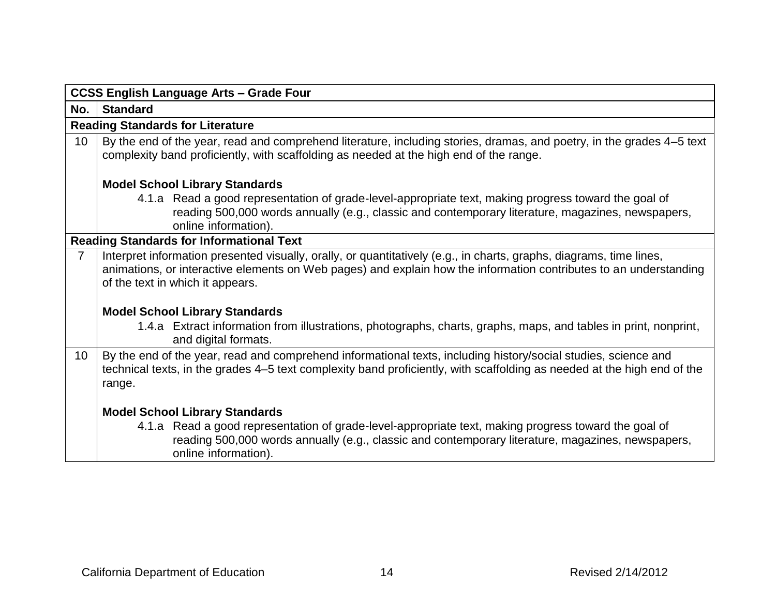|                 | <b>CCSS English Language Arts - Grade Four</b>                                                                                                                                                                                                                               |  |  |
|-----------------|------------------------------------------------------------------------------------------------------------------------------------------------------------------------------------------------------------------------------------------------------------------------------|--|--|
| No.             | <b>Standard</b>                                                                                                                                                                                                                                                              |  |  |
|                 | <b>Reading Standards for Literature</b>                                                                                                                                                                                                                                      |  |  |
| 10              | By the end of the year, read and comprehend literature, including stories, dramas, and poetry, in the grades 4–5 text<br>complexity band proficiently, with scaffolding as needed at the high end of the range.                                                              |  |  |
|                 | <b>Model School Library Standards</b>                                                                                                                                                                                                                                        |  |  |
|                 | 4.1.a Read a good representation of grade-level-appropriate text, making progress toward the goal of<br>reading 500,000 words annually (e.g., classic and contemporary literature, magazines, newspapers,<br>online information).                                            |  |  |
|                 | <b>Reading Standards for Informational Text</b>                                                                                                                                                                                                                              |  |  |
| $\overline{7}$  | Interpret information presented visually, orally, or quantitatively (e.g., in charts, graphs, diagrams, time lines,<br>animations, or interactive elements on Web pages) and explain how the information contributes to an understanding<br>of the text in which it appears. |  |  |
|                 | <b>Model School Library Standards</b><br>1.4.a Extract information from illustrations, photographs, charts, graphs, maps, and tables in print, nonprint,<br>and digital formats.                                                                                             |  |  |
| 10 <sup>°</sup> | By the end of the year, read and comprehend informational texts, including history/social studies, science and<br>technical texts, in the grades 4–5 text complexity band proficiently, with scaffolding as needed at the high end of the<br>range.                          |  |  |
|                 | <b>Model School Library Standards</b>                                                                                                                                                                                                                                        |  |  |
|                 | 4.1.a Read a good representation of grade-level-appropriate text, making progress toward the goal of<br>reading 500,000 words annually (e.g., classic and contemporary literature, magazines, newspapers,<br>online information).                                            |  |  |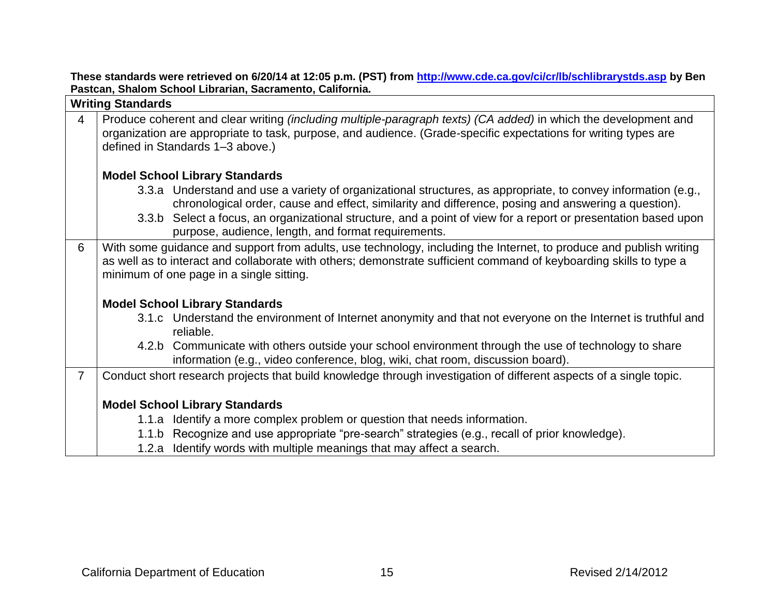**These standards were retrieved on 6/20/14 at 12:05 p.m. (PST) from<http://www.cde.ca.gov/ci/cr/lb/schlibrarystds.asp> by Ben Pastcan, Shalom School Librarian, Sacramento, California.**

|                | <b>Writing Standards</b>                                                                                                                                                                                                                                                             |
|----------------|--------------------------------------------------------------------------------------------------------------------------------------------------------------------------------------------------------------------------------------------------------------------------------------|
| $\overline{4}$ | Produce coherent and clear writing (including multiple-paragraph texts) (CA added) in which the development and<br>organization are appropriate to task, purpose, and audience. (Grade-specific expectations for writing types are<br>defined in Standards 1-3 above.)               |
|                | <b>Model School Library Standards</b>                                                                                                                                                                                                                                                |
|                | 3.3.a Understand and use a variety of organizational structures, as appropriate, to convey information (e.g.,<br>chronological order, cause and effect, similarity and difference, posing and answering a question).                                                                 |
|                | 3.3.b Select a focus, an organizational structure, and a point of view for a report or presentation based upon<br>purpose, audience, length, and format requirements.                                                                                                                |
| 6              | With some guidance and support from adults, use technology, including the Internet, to produce and publish writing<br>as well as to interact and collaborate with others; demonstrate sufficient command of keyboarding skills to type a<br>minimum of one page in a single sitting. |
|                | <b>Model School Library Standards</b>                                                                                                                                                                                                                                                |
|                | 3.1.c Understand the environment of Internet anonymity and that not everyone on the Internet is truthful and<br>reliable.                                                                                                                                                            |
|                | 4.2.b Communicate with others outside your school environment through the use of technology to share<br>information (e.g., video conference, blog, wiki, chat room, discussion board).                                                                                               |
| $\overline{7}$ | Conduct short research projects that build knowledge through investigation of different aspects of a single topic.                                                                                                                                                                   |
|                | <b>Model School Library Standards</b>                                                                                                                                                                                                                                                |
|                | 1.1.a Identify a more complex problem or question that needs information.                                                                                                                                                                                                            |
|                | 1.1.b Recognize and use appropriate "pre-search" strategies (e.g., recall of prior knowledge).                                                                                                                                                                                       |
|                | 1.2.a Identify words with multiple meanings that may affect a search.                                                                                                                                                                                                                |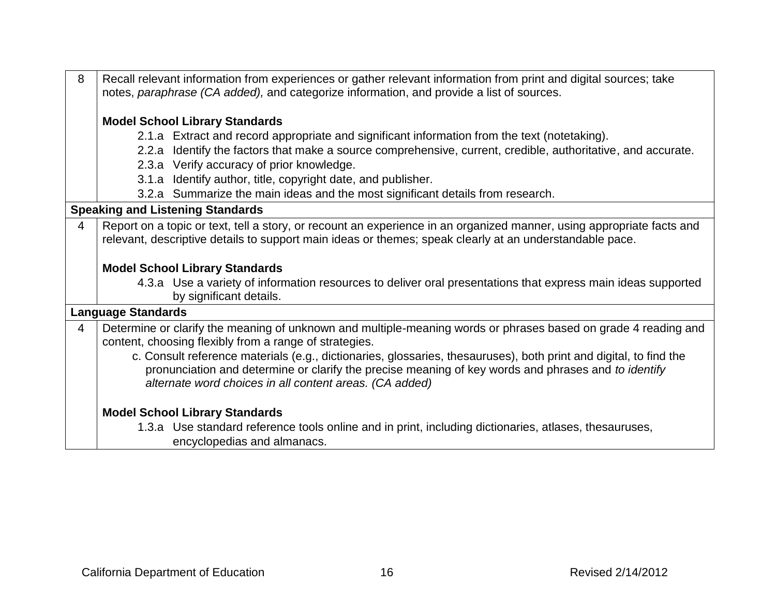| 8              | Recall relevant information from experiences or gather relevant information from print and digital sources; take<br>notes, paraphrase (CA added), and categorize information, and provide a list of sources. |  |
|----------------|--------------------------------------------------------------------------------------------------------------------------------------------------------------------------------------------------------------|--|
|                | <b>Model School Library Standards</b>                                                                                                                                                                        |  |
|                | 2.1.a Extract and record appropriate and significant information from the text (notetaking).                                                                                                                 |  |
|                | 2.2.a Identify the factors that make a source comprehensive, current, credible, authoritative, and accurate.                                                                                                 |  |
|                | 2.3.a Verify accuracy of prior knowledge.                                                                                                                                                                    |  |
|                | 3.1.a Identify author, title, copyright date, and publisher.                                                                                                                                                 |  |
|                | 3.2.a Summarize the main ideas and the most significant details from research.                                                                                                                               |  |
|                | <b>Speaking and Listening Standards</b>                                                                                                                                                                      |  |
| $\overline{4}$ | Report on a topic or text, tell a story, or recount an experience in an organized manner, using appropriate facts and                                                                                        |  |
|                | relevant, descriptive details to support main ideas or themes; speak clearly at an understandable pace.                                                                                                      |  |
|                |                                                                                                                                                                                                              |  |
|                | <b>Model School Library Standards</b>                                                                                                                                                                        |  |
|                | 4.3.a Use a variety of information resources to deliver oral presentations that express main ideas supported                                                                                                 |  |
|                | by significant details.                                                                                                                                                                                      |  |
|                | <b>Language Standards</b>                                                                                                                                                                                    |  |
| $\overline{4}$ | Determine or clarify the meaning of unknown and multiple-meaning words or phrases based on grade 4 reading and<br>content, choosing flexibly from a range of strategies.                                     |  |
|                | c. Consult reference materials (e.g., dictionaries, glossaries, thesauruses), both print and digital, to find the                                                                                            |  |
|                | pronunciation and determine or clarify the precise meaning of key words and phrases and to identify                                                                                                          |  |
|                | alternate word choices in all content areas. (CA added)                                                                                                                                                      |  |
|                | <b>Model School Library Standards</b>                                                                                                                                                                        |  |
|                | 1.3.a Use standard reference tools online and in print, including dictionaries, atlases, thesauruses,                                                                                                        |  |
|                | encyclopedias and almanacs.                                                                                                                                                                                  |  |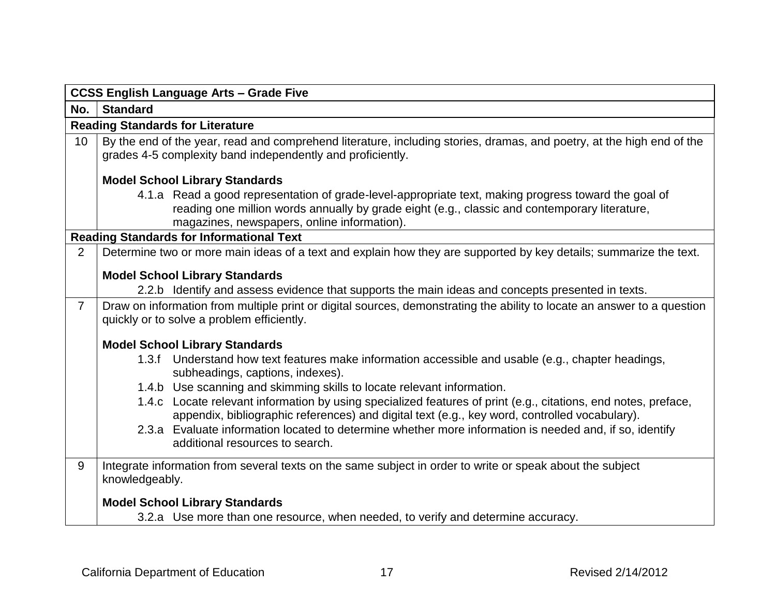|                 | <b>CCSS English Language Arts - Grade Five</b>                                                                                                                                                                                                       |
|-----------------|------------------------------------------------------------------------------------------------------------------------------------------------------------------------------------------------------------------------------------------------------|
| No.             | <b>Standard</b>                                                                                                                                                                                                                                      |
|                 | <b>Reading Standards for Literature</b>                                                                                                                                                                                                              |
| 10 <sup>°</sup> | By the end of the year, read and comprehend literature, including stories, dramas, and poetry, at the high end of the<br>grades 4-5 complexity band independently and proficiently.                                                                  |
|                 | <b>Model School Library Standards</b>                                                                                                                                                                                                                |
|                 | 4.1.a Read a good representation of grade-level-appropriate text, making progress toward the goal of<br>reading one million words annually by grade eight (e.g., classic and contemporary literature,<br>magazines, newspapers, online information). |
|                 | <b>Reading Standards for Informational Text</b>                                                                                                                                                                                                      |
| $\overline{2}$  | Determine two or more main ideas of a text and explain how they are supported by key details; summarize the text.                                                                                                                                    |
|                 | <b>Model School Library Standards</b><br>2.2.b Identify and assess evidence that supports the main ideas and concepts presented in texts.                                                                                                            |
| $\overline{7}$  | Draw on information from multiple print or digital sources, demonstrating the ability to locate an answer to a question<br>quickly or to solve a problem efficiently.                                                                                |
|                 | <b>Model School Library Standards</b>                                                                                                                                                                                                                |
|                 | 1.3.f Understand how text features make information accessible and usable (e.g., chapter headings,<br>subheadings, captions, indexes).                                                                                                               |
|                 | 1.4.b Use scanning and skimming skills to locate relevant information.                                                                                                                                                                               |
|                 | 1.4.c Locate relevant information by using specialized features of print (e.g., citations, end notes, preface,<br>appendix, bibliographic references) and digital text (e.g., key word, controlled vocabulary).                                      |
|                 | 2.3.a Evaluate information located to determine whether more information is needed and, if so, identify<br>additional resources to search.                                                                                                           |
| 9               | Integrate information from several texts on the same subject in order to write or speak about the subject<br>knowledgeably.                                                                                                                          |
|                 | <b>Model School Library Standards</b>                                                                                                                                                                                                                |
|                 | 3.2.a Use more than one resource, when needed, to verify and determine accuracy.                                                                                                                                                                     |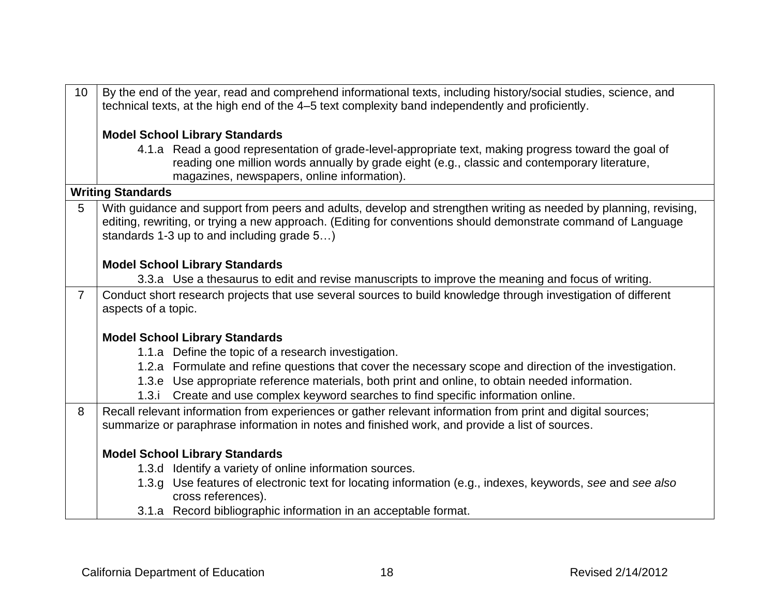| 10             | By the end of the year, read and comprehend informational texts, including history/social studies, science, and<br>technical texts, at the high end of the 4–5 text complexity band independently and proficiently.                                                             |
|----------------|---------------------------------------------------------------------------------------------------------------------------------------------------------------------------------------------------------------------------------------------------------------------------------|
|                | <b>Model School Library Standards</b>                                                                                                                                                                                                                                           |
|                | 4.1.a Read a good representation of grade-level-appropriate text, making progress toward the goal of<br>reading one million words annually by grade eight (e.g., classic and contemporary literature,<br>magazines, newspapers, online information).                            |
|                | <b>Writing Standards</b>                                                                                                                                                                                                                                                        |
| 5              | With guidance and support from peers and adults, develop and strengthen writing as needed by planning, revising,<br>editing, rewriting, or trying a new approach. (Editing for conventions should demonstrate command of Language<br>standards 1-3 up to and including grade 5) |
|                | <b>Model School Library Standards</b>                                                                                                                                                                                                                                           |
|                | 3.3.a Use a thesaurus to edit and revise manuscripts to improve the meaning and focus of writing.                                                                                                                                                                               |
| $\overline{7}$ | Conduct short research projects that use several sources to build knowledge through investigation of different<br>aspects of a topic.                                                                                                                                           |
|                | <b>Model School Library Standards</b>                                                                                                                                                                                                                                           |
|                | 1.1.a Define the topic of a research investigation.                                                                                                                                                                                                                             |
|                | 1.2.a Formulate and refine questions that cover the necessary scope and direction of the investigation.                                                                                                                                                                         |
|                | 1.3.e Use appropriate reference materials, both print and online, to obtain needed information.                                                                                                                                                                                 |
|                | 1.3.i Create and use complex keyword searches to find specific information online.                                                                                                                                                                                              |
| 8              | Recall relevant information from experiences or gather relevant information from print and digital sources;                                                                                                                                                                     |
|                | summarize or paraphrase information in notes and finished work, and provide a list of sources.                                                                                                                                                                                  |
|                |                                                                                                                                                                                                                                                                                 |
|                | <b>Model School Library Standards</b><br>1.3.d Identify a variety of online information sources.                                                                                                                                                                                |
|                | 1.3.g Use features of electronic text for locating information (e.g., indexes, keywords, see and see also<br>cross references).                                                                                                                                                 |
|                | 3.1.a Record bibliographic information in an acceptable format.                                                                                                                                                                                                                 |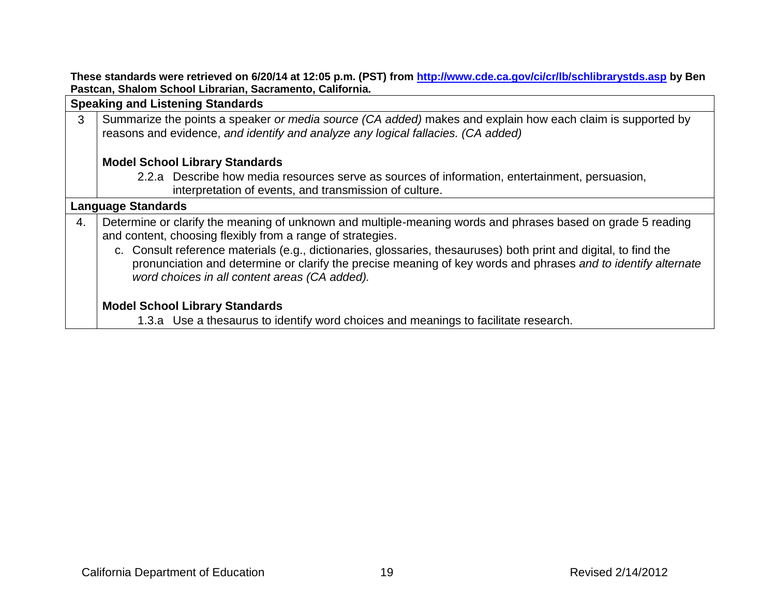**These standards were retrieved on 6/20/14 at 12:05 p.m. (PST) from<http://www.cde.ca.gov/ci/cr/lb/schlibrarystds.asp> by Ben Pastcan, Shalom School Librarian, Sacramento, California.**

**Speaking and Listening Standards** 3 Summarize the points a speaker *or media source (CA added)* makes and explain how each claim is supported by reasons and evidence, *and identify and analyze any logical fallacies. (CA added)*

# **Model School Library Standards**

2.2.a Describe how media resources serve as sources of information, entertainment, persuasion, interpretation of events, and transmission of culture.

#### **Language Standards**

- 4. Determine or clarify the meaning of unknown and multiple-meaning words and phrases based on grade 5 reading and content, choosing flexibly from a range of strategies.
	- c. Consult reference materials (e.g., dictionaries, glossaries, thesauruses) both print and digital, to find the pronunciation and determine or clarify the precise meaning of key words and phrases *and to identify alternate word choices in all content areas (CA added).*

# **Model School Library Standards**

1.3.a Use a thesaurus to identify word choices and meanings to facilitate research.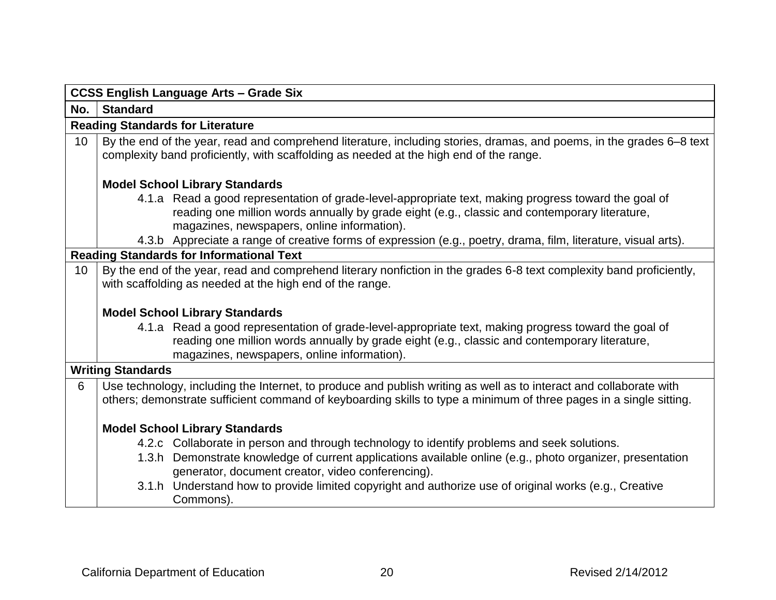|     | <b>CCSS English Language Arts - Grade Six</b>                                                                                                                                                                                                        |  |  |  |
|-----|------------------------------------------------------------------------------------------------------------------------------------------------------------------------------------------------------------------------------------------------------|--|--|--|
| No. | <b>Standard</b>                                                                                                                                                                                                                                      |  |  |  |
|     | <b>Reading Standards for Literature</b>                                                                                                                                                                                                              |  |  |  |
| 10  | By the end of the year, read and comprehend literature, including stories, dramas, and poems, in the grades 6–8 text<br>complexity band proficiently, with scaffolding as needed at the high end of the range.                                       |  |  |  |
|     | <b>Model School Library Standards</b>                                                                                                                                                                                                                |  |  |  |
|     | 4.1.a Read a good representation of grade-level-appropriate text, making progress toward the goal of<br>reading one million words annually by grade eight (e.g., classic and contemporary literature,<br>magazines, newspapers, online information). |  |  |  |
|     | 4.3.b Appreciate a range of creative forms of expression (e.g., poetry, drama, film, literature, visual arts).                                                                                                                                       |  |  |  |
|     | <b>Reading Standards for Informational Text</b>                                                                                                                                                                                                      |  |  |  |
| 10  | By the end of the year, read and comprehend literary nonfiction in the grades 6-8 text complexity band proficiently,<br>with scaffolding as needed at the high end of the range.                                                                     |  |  |  |
|     | <b>Model School Library Standards</b>                                                                                                                                                                                                                |  |  |  |
|     | 4.1.a Read a good representation of grade-level-appropriate text, making progress toward the goal of<br>reading one million words annually by grade eight (e.g., classic and contemporary literature,<br>magazines, newspapers, online information). |  |  |  |
|     | <b>Writing Standards</b>                                                                                                                                                                                                                             |  |  |  |
| 6   | Use technology, including the Internet, to produce and publish writing as well as to interact and collaborate with<br>others; demonstrate sufficient command of keyboarding skills to type a minimum of three pages in a single sitting.             |  |  |  |
|     | <b>Model School Library Standards</b>                                                                                                                                                                                                                |  |  |  |
|     | 4.2.c Collaborate in person and through technology to identify problems and seek solutions.                                                                                                                                                          |  |  |  |
|     | 1.3.h Demonstrate knowledge of current applications available online (e.g., photo organizer, presentation<br>generator, document creator, video conferencing).                                                                                       |  |  |  |
|     | 3.1.h Understand how to provide limited copyright and authorize use of original works (e.g., Creative<br>Commons).                                                                                                                                   |  |  |  |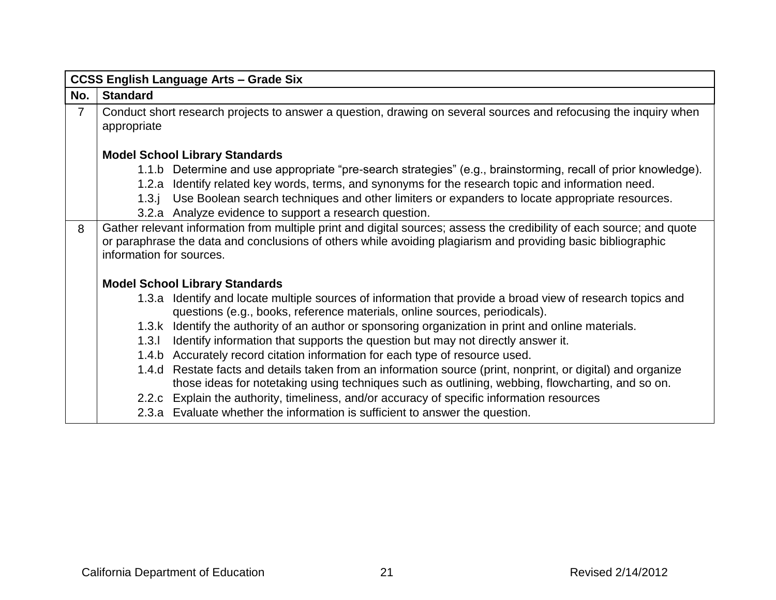|                | <b>CCSS English Language Arts - Grade Six</b>                                                                |                                                                                                                                                                                          |  |
|----------------|--------------------------------------------------------------------------------------------------------------|------------------------------------------------------------------------------------------------------------------------------------------------------------------------------------------|--|
| No.            | <b>Standard</b>                                                                                              |                                                                                                                                                                                          |  |
| $\overline{7}$ |                                                                                                              | Conduct short research projects to answer a question, drawing on several sources and refocusing the inquiry when                                                                         |  |
|                | appropriate                                                                                                  |                                                                                                                                                                                          |  |
|                |                                                                                                              |                                                                                                                                                                                          |  |
|                |                                                                                                              | <b>Model School Library Standards</b>                                                                                                                                                    |  |
|                |                                                                                                              | 1.1.b Determine and use appropriate "pre-search strategies" (e.g., brainstorming, recall of prior knowledge).                                                                            |  |
|                | 1.2.a                                                                                                        | Identify related key words, terms, and synonyms for the research topic and information need.                                                                                             |  |
|                | 1.3.1                                                                                                        | Use Boolean search techniques and other limiters or expanders to locate appropriate resources.                                                                                           |  |
|                |                                                                                                              | 3.2.a Analyze evidence to support a research question.                                                                                                                                   |  |
| 8              |                                                                                                              | Gather relevant information from multiple print and digital sources; assess the credibility of each source; and quote                                                                    |  |
|                | or paraphrase the data and conclusions of others while avoiding plagiarism and providing basic bibliographic |                                                                                                                                                                                          |  |
|                | information for sources.                                                                                     |                                                                                                                                                                                          |  |
|                |                                                                                                              |                                                                                                                                                                                          |  |
|                |                                                                                                              | <b>Model School Library Standards</b>                                                                                                                                                    |  |
|                |                                                                                                              | 1.3.a Identify and locate multiple sources of information that provide a broad view of research topics and<br>questions (e.g., books, reference materials, online sources, periodicals). |  |
|                | 1.3.k                                                                                                        | Identify the authority of an author or sponsoring organization in print and online materials.                                                                                            |  |
|                | 1.3.1                                                                                                        | Identify information that supports the question but may not directly answer it.                                                                                                          |  |
|                |                                                                                                              | 1.4.b Accurately record citation information for each type of resource used.                                                                                                             |  |
|                |                                                                                                              | 1.4.d Restate facts and details taken from an information source (print, nonprint, or digital) and organize                                                                              |  |
|                |                                                                                                              | those ideas for notetaking using techniques such as outlining, webbing, flowcharting, and so on.                                                                                         |  |
|                |                                                                                                              | 2.2.c Explain the authority, timeliness, and/or accuracy of specific information resources                                                                                               |  |
|                |                                                                                                              | 2.3.a Evaluate whether the information is sufficient to answer the question.                                                                                                             |  |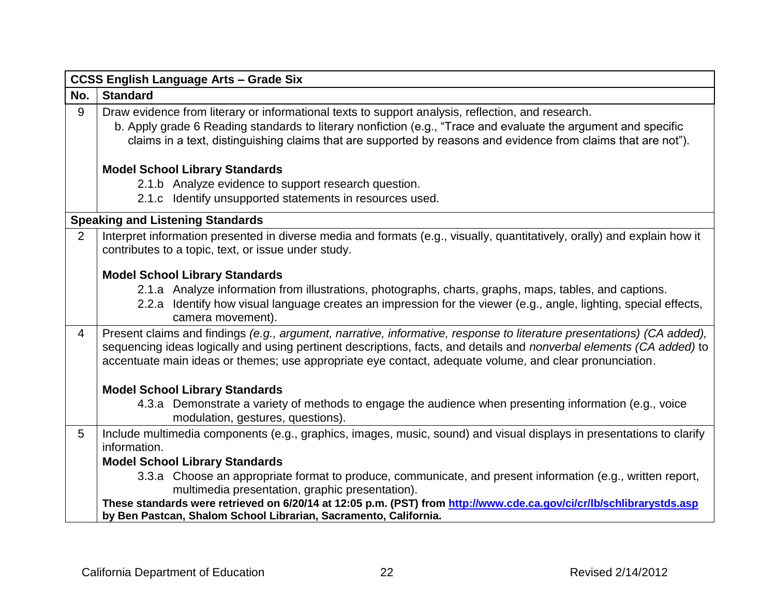|                | <b>CCSS English Language Arts - Grade Six</b>                                                                                                                                                                                                                                                                                                                    |
|----------------|------------------------------------------------------------------------------------------------------------------------------------------------------------------------------------------------------------------------------------------------------------------------------------------------------------------------------------------------------------------|
| No.            | <b>Standard</b>                                                                                                                                                                                                                                                                                                                                                  |
| 9              | Draw evidence from literary or informational texts to support analysis, reflection, and research.<br>b. Apply grade 6 Reading standards to literary nonfiction (e.g., "Trace and evaluate the argument and specific<br>claims in a text, distinguishing claims that are supported by reasons and evidence from claims that are not").                            |
|                | <b>Model School Library Standards</b>                                                                                                                                                                                                                                                                                                                            |
|                | 2.1.b Analyze evidence to support research question.                                                                                                                                                                                                                                                                                                             |
|                | 2.1.c Identify unsupported statements in resources used.                                                                                                                                                                                                                                                                                                         |
|                | <b>Speaking and Listening Standards</b>                                                                                                                                                                                                                                                                                                                          |
| 2              | Interpret information presented in diverse media and formats (e.g., visually, quantitatively, orally) and explain how it<br>contributes to a topic, text, or issue under study.                                                                                                                                                                                  |
|                | <b>Model School Library Standards</b>                                                                                                                                                                                                                                                                                                                            |
|                | 2.1.a Analyze information from illustrations, photographs, charts, graphs, maps, tables, and captions.                                                                                                                                                                                                                                                           |
|                | 2.2.a Identify how visual language creates an impression for the viewer (e.g., angle, lighting, special effects,<br>camera movement).                                                                                                                                                                                                                            |
| $\overline{4}$ | Present claims and findings (e.g., argument, narrative, informative, response to literature presentations) (CA added),<br>sequencing ideas logically and using pertinent descriptions, facts, and details and <i>nonverbal elements (CA added)</i> to<br>accentuate main ideas or themes; use appropriate eye contact, adequate volume, and clear pronunciation. |
|                | <b>Model School Library Standards</b>                                                                                                                                                                                                                                                                                                                            |
|                | 4.3.a Demonstrate a variety of methods to engage the audience when presenting information (e.g., voice<br>modulation, gestures, questions).                                                                                                                                                                                                                      |
| 5              | Include multimedia components (e.g., graphics, images, music, sound) and visual displays in presentations to clarify<br>information.                                                                                                                                                                                                                             |
|                | <b>Model School Library Standards</b>                                                                                                                                                                                                                                                                                                                            |
|                | 3.3.a Choose an appropriate format to produce, communicate, and present information (e.g., written report,<br>multimedia presentation, graphic presentation).                                                                                                                                                                                                    |
|                | These standards were retrieved on 6/20/14 at 12:05 p.m. (PST) from http://www.cde.ca.gov/ci/cr/lb/schlibrarystds.asp<br>by Ben Pastcan, Shalom School Librarian, Sacramento, California.                                                                                                                                                                         |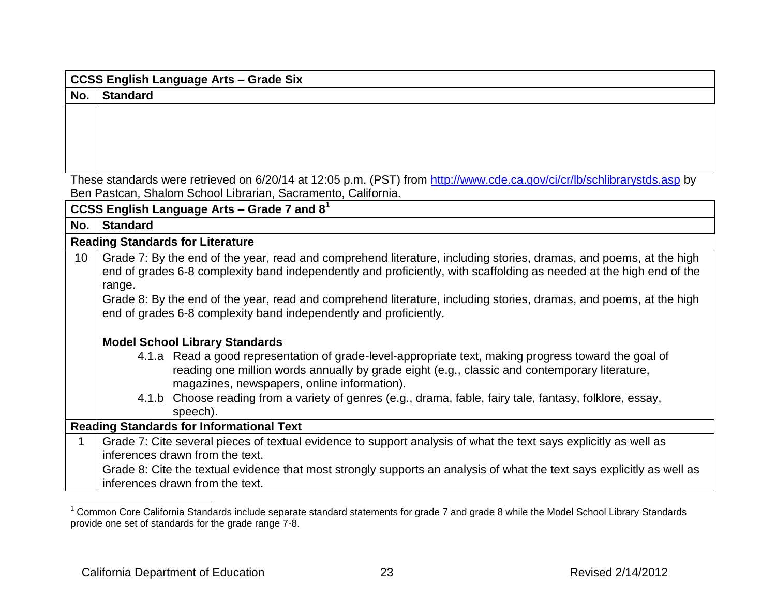| <b>CCSS English Language Arts - Grade Six</b> |                                                                                                                                                                                                                                                      |  |
|-----------------------------------------------|------------------------------------------------------------------------------------------------------------------------------------------------------------------------------------------------------------------------------------------------------|--|
| No.                                           | <b>Standard</b>                                                                                                                                                                                                                                      |  |
|                                               |                                                                                                                                                                                                                                                      |  |
|                                               |                                                                                                                                                                                                                                                      |  |
|                                               |                                                                                                                                                                                                                                                      |  |
|                                               |                                                                                                                                                                                                                                                      |  |
|                                               | These standards were retrieved on 6/20/14 at 12:05 p.m. (PST) from http://www.cde.ca.gov/ci/cr/lb/schlibrarystds.asp by                                                                                                                              |  |
|                                               | Ben Pastcan, Shalom School Librarian, Sacramento, California.                                                                                                                                                                                        |  |
|                                               | CCSS English Language Arts - Grade 7 and $81$                                                                                                                                                                                                        |  |
| No.                                           | <b>Standard</b>                                                                                                                                                                                                                                      |  |
|                                               | <b>Reading Standards for Literature</b>                                                                                                                                                                                                              |  |
| 10                                            | Grade 7: By the end of the year, read and comprehend literature, including stories, dramas, and poems, at the high<br>end of grades 6-8 complexity band independently and proficiently, with scaffolding as needed at the high end of the            |  |
|                                               | range.                                                                                                                                                                                                                                               |  |
|                                               | Grade 8: By the end of the year, read and comprehend literature, including stories, dramas, and poems, at the high                                                                                                                                   |  |
|                                               | end of grades 6-8 complexity band independently and proficiently.                                                                                                                                                                                    |  |
|                                               | <b>Model School Library Standards</b>                                                                                                                                                                                                                |  |
|                                               | 4.1.a Read a good representation of grade-level-appropriate text, making progress toward the goal of<br>reading one million words annually by grade eight (e.g., classic and contemporary literature,<br>magazines, newspapers, online information). |  |
|                                               | 4.1.b Choose reading from a variety of genres (e.g., drama, fable, fairy tale, fantasy, folklore, essay,<br>speech).                                                                                                                                 |  |
|                                               | <b>Reading Standards for Informational Text</b>                                                                                                                                                                                                      |  |
| 1                                             | Grade 7: Cite several pieces of textual evidence to support analysis of what the text says explicitly as well as<br>inferences drawn from the text.                                                                                                  |  |
|                                               | Grade 8: Cite the textual evidence that most strongly supports an analysis of what the text says explicitly as well as<br>inferences drawn from the text.                                                                                            |  |

 $1$  Common Core California Standards include separate standard statements for grade 7 and grade 8 while the Model School Library Standards provide one set of standards for the grade range 7-8.

 $\overline{a}$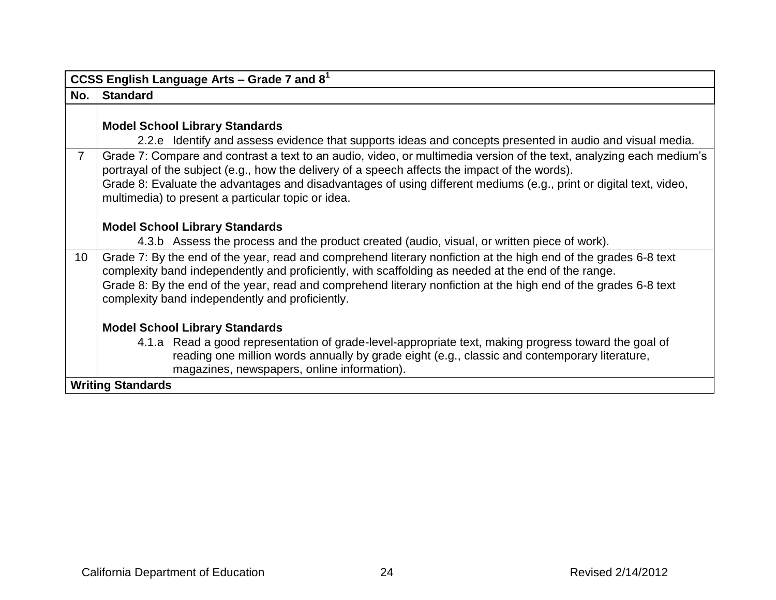|                 | CCSS English Language Arts - Grade 7 and $8^1$                                                                                                                                                                         |
|-----------------|------------------------------------------------------------------------------------------------------------------------------------------------------------------------------------------------------------------------|
| No.             | <b>Standard</b>                                                                                                                                                                                                        |
|                 |                                                                                                                                                                                                                        |
|                 | <b>Model School Library Standards</b>                                                                                                                                                                                  |
|                 | 2.2.e Identify and assess evidence that supports ideas and concepts presented in audio and visual media.                                                                                                               |
| $\overline{7}$  | Grade 7: Compare and contrast a text to an audio, video, or multimedia version of the text, analyzing each medium's<br>portrayal of the subject (e.g., how the delivery of a speech affects the impact of the words).  |
|                 | Grade 8: Evaluate the advantages and disadvantages of using different mediums (e.g., print or digital text, video,<br>multimedia) to present a particular topic or idea.                                               |
|                 |                                                                                                                                                                                                                        |
|                 | <b>Model School Library Standards</b>                                                                                                                                                                                  |
|                 | 4.3.b Assess the process and the product created (audio, visual, or written piece of work).                                                                                                                            |
| 10 <sup>°</sup> | Grade 7: By the end of the year, read and comprehend literary nonfiction at the high end of the grades 6-8 text<br>complexity band independently and proficiently, with scaffolding as needed at the end of the range. |
|                 | Grade 8: By the end of the year, read and comprehend literary nonfiction at the high end of the grades 6-8 text<br>complexity band independently and proficiently.                                                     |
|                 |                                                                                                                                                                                                                        |
|                 | <b>Model School Library Standards</b>                                                                                                                                                                                  |
|                 | 4.1.a Read a good representation of grade-level-appropriate text, making progress toward the goal of<br>reading one million words annually by grade eight (e.g., classic and contemporary literature,                  |
|                 | magazines, newspapers, online information).                                                                                                                                                                            |
|                 | <b>Writing Standards</b>                                                                                                                                                                                               |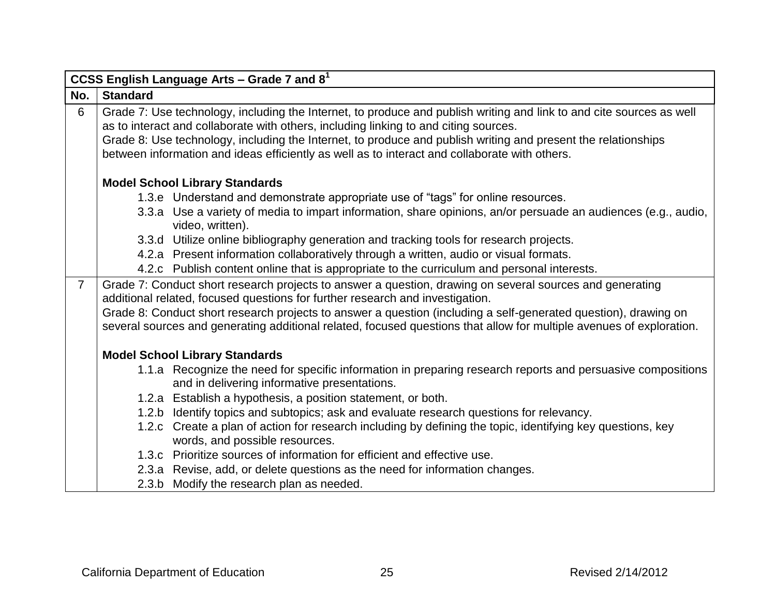|                | CCSS English Language Arts - Grade 7 and $81$                                                                                                                                                                                           |
|----------------|-----------------------------------------------------------------------------------------------------------------------------------------------------------------------------------------------------------------------------------------|
| No.            | <b>Standard</b>                                                                                                                                                                                                                         |
| 6              | Grade 7: Use technology, including the Internet, to produce and publish writing and link to and cite sources as well<br>as to interact and collaborate with others, including linking to and citing sources.                            |
|                | Grade 8: Use technology, including the Internet, to produce and publish writing and present the relationships                                                                                                                           |
|                | between information and ideas efficiently as well as to interact and collaborate with others.                                                                                                                                           |
|                | <b>Model School Library Standards</b>                                                                                                                                                                                                   |
|                | 1.3.e Understand and demonstrate appropriate use of "tags" for online resources.                                                                                                                                                        |
|                | 3.3.a Use a variety of media to impart information, share opinions, an/or persuade an audiences (e.g., audio,<br>video, written).                                                                                                       |
|                | 3.3.d Utilize online bibliography generation and tracking tools for research projects.                                                                                                                                                  |
|                | 4.2.a Present information collaboratively through a written, audio or visual formats.                                                                                                                                                   |
|                | 4.2.c Publish content online that is appropriate to the curriculum and personal interests.                                                                                                                                              |
| $\overline{7}$ | Grade 7: Conduct short research projects to answer a question, drawing on several sources and generating<br>additional related, focused questions for further research and investigation.                                               |
|                | Grade 8: Conduct short research projects to answer a question (including a self-generated question), drawing on<br>several sources and generating additional related, focused questions that allow for multiple avenues of exploration. |
|                | <b>Model School Library Standards</b>                                                                                                                                                                                                   |
|                | 1.1.a Recognize the need for specific information in preparing research reports and persuasive compositions<br>and in delivering informative presentations.                                                                             |
|                | 1.2.a Establish a hypothesis, a position statement, or both.                                                                                                                                                                            |
|                | 1.2.b Identify topics and subtopics; ask and evaluate research questions for relevancy.                                                                                                                                                 |
|                | 1.2.c Create a plan of action for research including by defining the topic, identifying key questions, key                                                                                                                              |
|                | words, and possible resources.                                                                                                                                                                                                          |
|                | 1.3.c Prioritize sources of information for efficient and effective use.                                                                                                                                                                |
|                | 2.3.a Revise, add, or delete questions as the need for information changes.                                                                                                                                                             |
|                | 2.3.b Modify the research plan as needed.                                                                                                                                                                                               |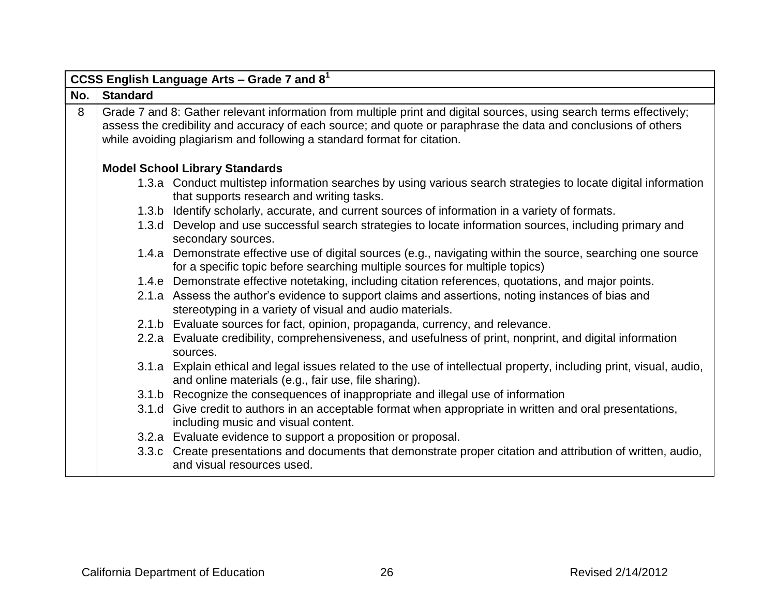|     | CCSS English Language Arts – Grade 7 and $81$                                                                                                                                                                                                                                                                    |                                                                                                                                                                                             |  |
|-----|------------------------------------------------------------------------------------------------------------------------------------------------------------------------------------------------------------------------------------------------------------------------------------------------------------------|---------------------------------------------------------------------------------------------------------------------------------------------------------------------------------------------|--|
| No. | <b>Standard</b>                                                                                                                                                                                                                                                                                                  |                                                                                                                                                                                             |  |
| 8   | Grade 7 and 8: Gather relevant information from multiple print and digital sources, using search terms effectively;<br>assess the credibility and accuracy of each source; and quote or paraphrase the data and conclusions of others<br>while avoiding plagiarism and following a standard format for citation. |                                                                                                                                                                                             |  |
|     |                                                                                                                                                                                                                                                                                                                  | <b>Model School Library Standards</b>                                                                                                                                                       |  |
|     |                                                                                                                                                                                                                                                                                                                  | 1.3.a Conduct multistep information searches by using various search strategies to locate digital information<br>that supports research and writing tasks.                                  |  |
|     |                                                                                                                                                                                                                                                                                                                  | 1.3.b Identify scholarly, accurate, and current sources of information in a variety of formats.                                                                                             |  |
|     |                                                                                                                                                                                                                                                                                                                  | 1.3.d Develop and use successful search strategies to locate information sources, including primary and<br>secondary sources.                                                               |  |
|     |                                                                                                                                                                                                                                                                                                                  | 1.4.a Demonstrate effective use of digital sources (e.g., navigating within the source, searching one source<br>for a specific topic before searching multiple sources for multiple topics) |  |
|     |                                                                                                                                                                                                                                                                                                                  | 1.4.e Demonstrate effective notetaking, including citation references, quotations, and major points.                                                                                        |  |
|     |                                                                                                                                                                                                                                                                                                                  | 2.1.a Assess the author's evidence to support claims and assertions, noting instances of bias and<br>stereotyping in a variety of visual and audio materials.                               |  |
|     |                                                                                                                                                                                                                                                                                                                  | 2.1.b Evaluate sources for fact, opinion, propaganda, currency, and relevance.                                                                                                              |  |
|     |                                                                                                                                                                                                                                                                                                                  | 2.2.a Evaluate credibility, comprehensiveness, and usefulness of print, nonprint, and digital information<br>sources.                                                                       |  |
|     |                                                                                                                                                                                                                                                                                                                  | 3.1.a Explain ethical and legal issues related to the use of intellectual property, including print, visual, audio,<br>and online materials (e.g., fair use, file sharing).                 |  |
|     |                                                                                                                                                                                                                                                                                                                  | 3.1.b Recognize the consequences of inappropriate and illegal use of information                                                                                                            |  |
|     |                                                                                                                                                                                                                                                                                                                  | 3.1.d Give credit to authors in an acceptable format when appropriate in written and oral presentations,<br>including music and visual content.                                             |  |
|     |                                                                                                                                                                                                                                                                                                                  | 3.2.a Evaluate evidence to support a proposition or proposal.                                                                                                                               |  |
|     |                                                                                                                                                                                                                                                                                                                  | 3.3.c Create presentations and documents that demonstrate proper citation and attribution of written, audio,<br>and visual resources used.                                                  |  |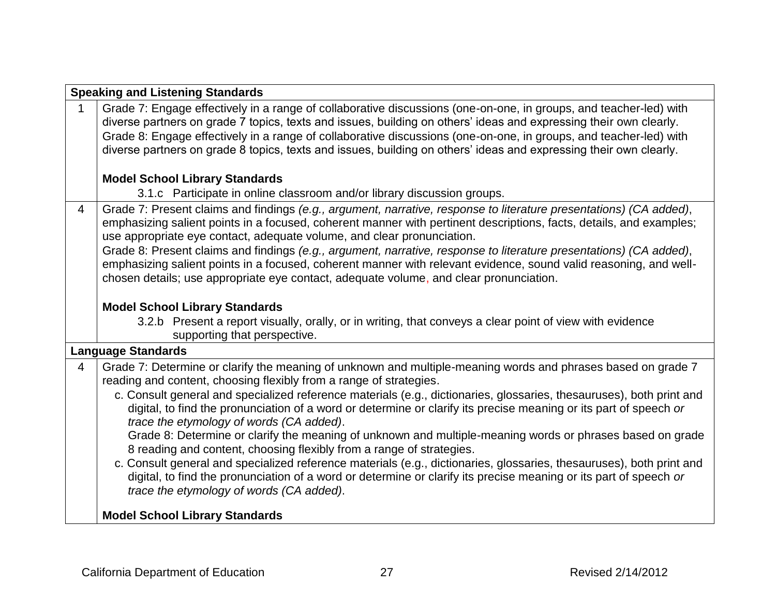|                | <b>Speaking and Listening Standards</b>                                                                                                                                                                                                                                                                                                                                                                                                                                          |  |  |
|----------------|----------------------------------------------------------------------------------------------------------------------------------------------------------------------------------------------------------------------------------------------------------------------------------------------------------------------------------------------------------------------------------------------------------------------------------------------------------------------------------|--|--|
| 1              | Grade 7: Engage effectively in a range of collaborative discussions (one-on-one, in groups, and teacher-led) with<br>diverse partners on grade 7 topics, texts and issues, building on others' ideas and expressing their own clearly.<br>Grade 8: Engage effectively in a range of collaborative discussions (one-on-one, in groups, and teacher-led) with<br>diverse partners on grade 8 topics, texts and issues, building on others' ideas and expressing their own clearly. |  |  |
|                | <b>Model School Library Standards</b>                                                                                                                                                                                                                                                                                                                                                                                                                                            |  |  |
|                | 3.1.c Participate in online classroom and/or library discussion groups.                                                                                                                                                                                                                                                                                                                                                                                                          |  |  |
| $\overline{4}$ | Grade 7: Present claims and findings (e.g., argument, narrative, response to literature presentations) (CA added),<br>emphasizing salient points in a focused, coherent manner with pertinent descriptions, facts, details, and examples;<br>use appropriate eye contact, adequate volume, and clear pronunciation.<br>Grade 8: Present claims and findings (e.g., argument, narrative, response to literature presentations) (CA added),                                        |  |  |
|                | emphasizing salient points in a focused, coherent manner with relevant evidence, sound valid reasoning, and well-<br>chosen details; use appropriate eye contact, adequate volume, and clear pronunciation.                                                                                                                                                                                                                                                                      |  |  |
|                | <b>Model School Library Standards</b>                                                                                                                                                                                                                                                                                                                                                                                                                                            |  |  |
|                | 3.2.b Present a report visually, orally, or in writing, that conveys a clear point of view with evidence<br>supporting that perspective.                                                                                                                                                                                                                                                                                                                                         |  |  |
|                | <b>Language Standards</b>                                                                                                                                                                                                                                                                                                                                                                                                                                                        |  |  |
| $\overline{4}$ | Grade 7: Determine or clarify the meaning of unknown and multiple-meaning words and phrases based on grade 7<br>reading and content, choosing flexibly from a range of strategies.                                                                                                                                                                                                                                                                                               |  |  |
|                | c. Consult general and specialized reference materials (e.g., dictionaries, glossaries, thesauruses), both print and<br>digital, to find the pronunciation of a word or determine or clarify its precise meaning or its part of speech or<br>trace the etymology of words (CA added).                                                                                                                                                                                            |  |  |
|                | Grade 8: Determine or clarify the meaning of unknown and multiple-meaning words or phrases based on grade<br>8 reading and content, choosing flexibly from a range of strategies.                                                                                                                                                                                                                                                                                                |  |  |
|                | c. Consult general and specialized reference materials (e.g., dictionaries, glossaries, thesauruses), both print and<br>digital, to find the pronunciation of a word or determine or clarify its precise meaning or its part of speech or<br>trace the etymology of words (CA added).                                                                                                                                                                                            |  |  |
|                | <b>Model School Library Standards</b>                                                                                                                                                                                                                                                                                                                                                                                                                                            |  |  |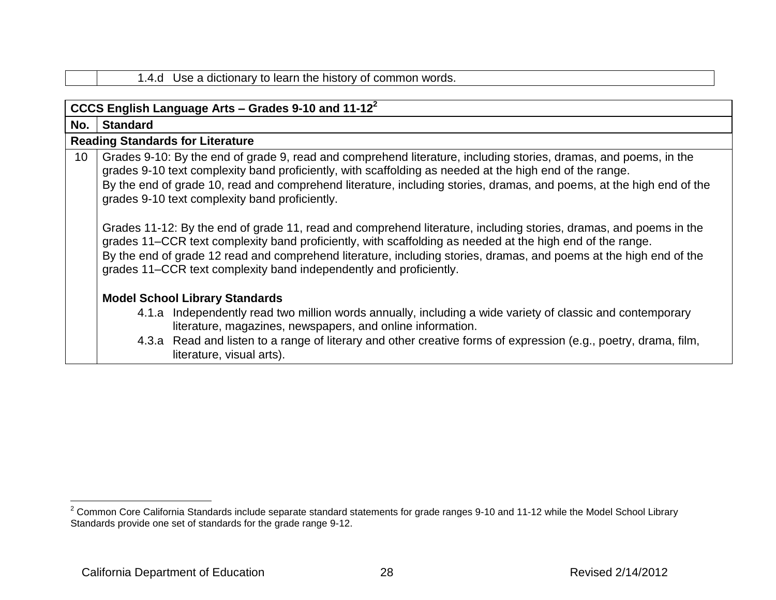|     | CCCS English Language Arts – Grades 9-10 and 11-12 $2^2$                                                                                                                                                                                                                                                                                                                                                                   |
|-----|----------------------------------------------------------------------------------------------------------------------------------------------------------------------------------------------------------------------------------------------------------------------------------------------------------------------------------------------------------------------------------------------------------------------------|
| No. | <b>Standard</b>                                                                                                                                                                                                                                                                                                                                                                                                            |
|     | <b>Reading Standards for Literature</b>                                                                                                                                                                                                                                                                                                                                                                                    |
| 10  | Grades 9-10: By the end of grade 9, read and comprehend literature, including stories, dramas, and poems, in the<br>grades 9-10 text complexity band proficiently, with scaffolding as needed at the high end of the range.<br>By the end of grade 10, read and comprehend literature, including stories, dramas, and poems, at the high end of the<br>grades 9-10 text complexity band proficiently.                      |
|     | Grades 11-12: By the end of grade 11, read and comprehend literature, including stories, dramas, and poems in the<br>grades 11–CCR text complexity band proficiently, with scaffolding as needed at the high end of the range.<br>By the end of grade 12 read and comprehend literature, including stories, dramas, and poems at the high end of the<br>grades 11–CCR text complexity band independently and proficiently. |
|     | <b>Model School Library Standards</b>                                                                                                                                                                                                                                                                                                                                                                                      |
|     | 4.1.a Independently read two million words annually, including a wide variety of classic and contemporary<br>literature, magazines, newspapers, and online information.                                                                                                                                                                                                                                                    |
|     | 4.3.a Read and listen to a range of literary and other creative forms of expression (e.g., poetry, drama, film,<br>literature, visual arts).                                                                                                                                                                                                                                                                               |

1.4.d Use a dictionary to learn the history of common words.

 $\overline{a}$ 

 $2$  Common Core California Standards include separate standard statements for grade ranges 9-10 and 11-12 while the Model School Library Standards provide one set of standards for the grade range 9-12.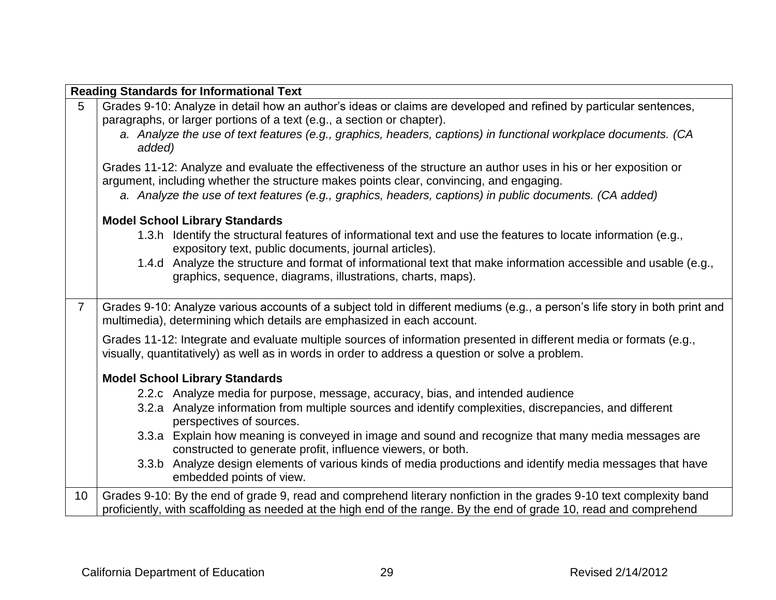|                | <b>Reading Standards for Informational Text</b>                                                                                                                                                                                           |
|----------------|-------------------------------------------------------------------------------------------------------------------------------------------------------------------------------------------------------------------------------------------|
| 5              | Grades 9-10: Analyze in detail how an author's ideas or claims are developed and refined by particular sentences,<br>paragraphs, or larger portions of a text (e.g., a section or chapter).                                               |
|                | a. Analyze the use of text features (e.g., graphics, headers, captions) in functional workplace documents. (CA<br>added)                                                                                                                  |
|                | Grades 11-12: Analyze and evaluate the effectiveness of the structure an author uses in his or her exposition or<br>argument, including whether the structure makes points clear, convincing, and engaging.                               |
|                | a. Analyze the use of text features (e.g., graphics, headers, captions) in public documents. (CA added)                                                                                                                                   |
|                | <b>Model School Library Standards</b>                                                                                                                                                                                                     |
|                | 1.3.h Identify the structural features of informational text and use the features to locate information (e.g.,<br>expository text, public documents, journal articles).                                                                   |
|                | 1.4.d Analyze the structure and format of informational text that make information accessible and usable (e.g.,<br>graphics, sequence, diagrams, illustrations, charts, maps).                                                            |
| $\overline{7}$ | Grades 9-10: Analyze various accounts of a subject told in different mediums (e.g., a person's life story in both print and<br>multimedia), determining which details are emphasized in each account.                                     |
|                | Grades 11-12: Integrate and evaluate multiple sources of information presented in different media or formats (e.g.,<br>visually, quantitatively) as well as in words in order to address a question or solve a problem.                   |
|                | <b>Model School Library Standards</b>                                                                                                                                                                                                     |
|                | 2.2.c Analyze media for purpose, message, accuracy, bias, and intended audience                                                                                                                                                           |
|                | 3.2.a Analyze information from multiple sources and identify complexities, discrepancies, and different<br>perspectives of sources.                                                                                                       |
|                | 3.3.a Explain how meaning is conveyed in image and sound and recognize that many media messages are<br>constructed to generate profit, influence viewers, or both.                                                                        |
|                | 3.3.b Analyze design elements of various kinds of media productions and identify media messages that have<br>embedded points of view.                                                                                                     |
| 10             | Grades 9-10: By the end of grade 9, read and comprehend literary nonfiction in the grades 9-10 text complexity band<br>proficiently, with scaffolding as needed at the high end of the range. By the end of grade 10, read and comprehend |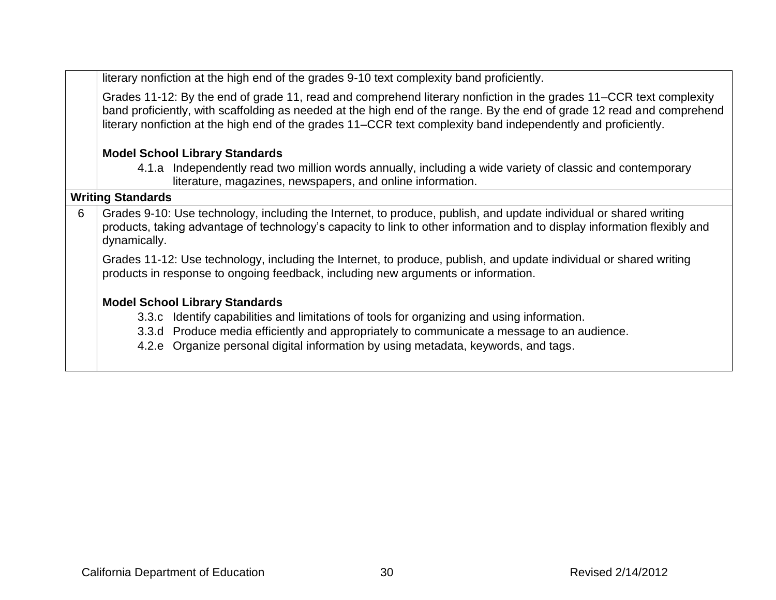literary nonfiction at the high end of the grades 9-10 text complexity band proficiently.

Grades 11-12: By the end of grade 11, read and comprehend literary nonfiction in the grades 11–CCR text complexity band proficiently, with scaffolding as needed at the high end of the range. By the end of grade 12 read and comprehend literary nonfiction at the high end of the grades 11–CCR text complexity band independently and proficiently.

#### **Model School Library Standards**

4.1.a Independently read two million words annually, including a wide variety of classic and contemporary literature, magazines, newspapers, and online information.

# **Writing Standards**

6 Grades 9-10: Use technology, including the Internet, to produce, publish, and update individual or shared writing products, taking advantage of technology's capacity to link to other information and to display information flexibly and dynamically.

Grades 11-12: Use technology, including the Internet, to produce, publish, and update individual or shared writing products in response to ongoing feedback, including new arguments or information.

### **Model School Library Standards**

- 3.3.c Identify capabilities and limitations of tools for organizing and using information.
- 3.3.d Produce media efficiently and appropriately to communicate a message to an audience.
- 4.2.e Organize personal digital information by using metadata, keywords, and tags.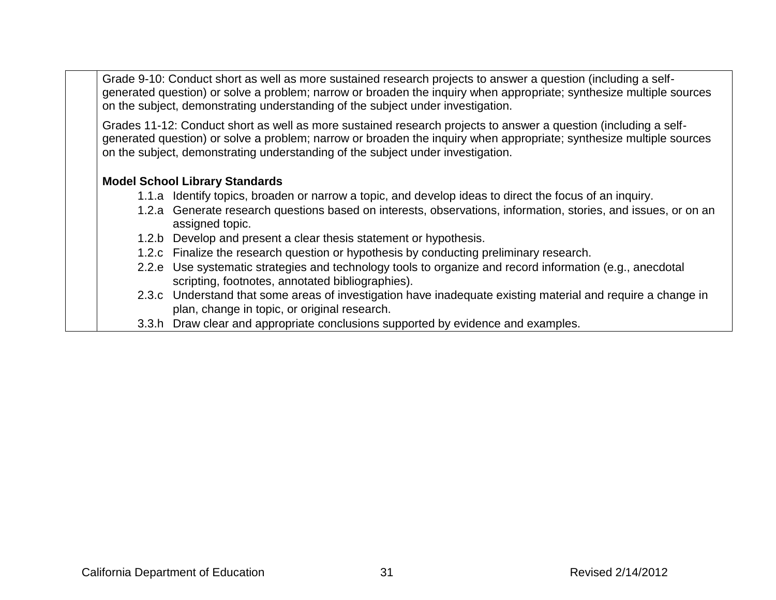Grade 9-10: Conduct short as well as more sustained research projects to answer a question (including a selfgenerated question) or solve a problem; narrow or broaden the inquiry when appropriate; synthesize multiple sources on the subject, demonstrating understanding of the subject under investigation.

Grades 11-12: Conduct short as well as more sustained research projects to answer a question (including a selfgenerated question) or solve a problem; narrow or broaden the inquiry when appropriate; synthesize multiple sources on the subject, demonstrating understanding of the subject under investigation.

#### **Model School Library Standards**

- 1.1.a Identify topics, broaden or narrow a topic, and develop ideas to direct the focus of an inquiry.
- 1.2.a Generate research questions based on interests, observations, information, stories, and issues, or on an assigned topic.
- 1.2.b Develop and present a clear thesis statement or hypothesis.
- 1.2.c Finalize the research question or hypothesis by conducting preliminary research.
- 2.2.e Use systematic strategies and technology tools to organize and record information (e.g., anecdotal scripting, footnotes, annotated bibliographies).
- 2.3.c Understand that some areas of investigation have inadequate existing material and require a change in plan, change in topic, or original research.
- 3.3.h Draw clear and appropriate conclusions supported by evidence and examples.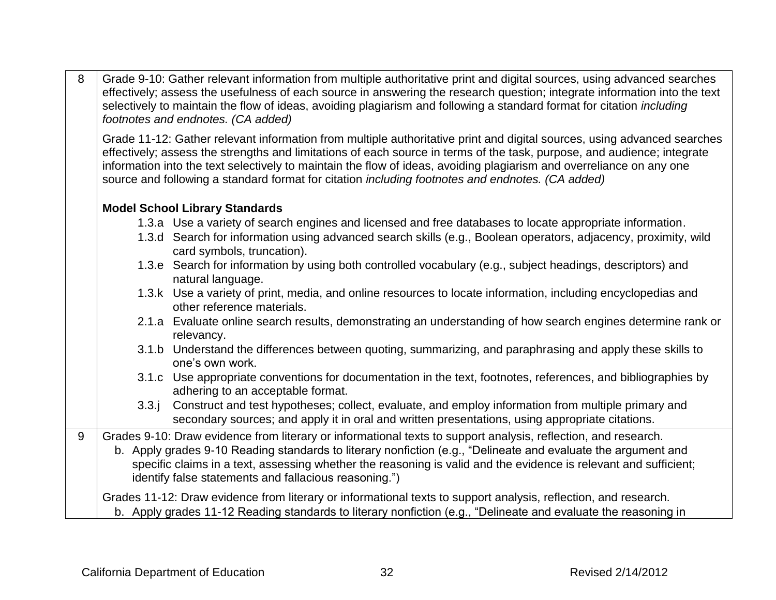| 8 | Grade 9-10: Gather relevant information from multiple authoritative print and digital sources, using advanced searches<br>effectively; assess the usefulness of each source in answering the research question; integrate information into the text<br>selectively to maintain the flow of ideas, avoiding plagiarism and following a standard format for citation including<br>footnotes and endnotes. (CA added)                                                                    |
|---|---------------------------------------------------------------------------------------------------------------------------------------------------------------------------------------------------------------------------------------------------------------------------------------------------------------------------------------------------------------------------------------------------------------------------------------------------------------------------------------|
|   | Grade 11-12: Gather relevant information from multiple authoritative print and digital sources, using advanced searches<br>effectively; assess the strengths and limitations of each source in terms of the task, purpose, and audience; integrate<br>information into the text selectively to maintain the flow of ideas, avoiding plagiarism and overreliance on any one<br>source and following a standard format for citation <i>including footnotes and endnotes. (CA added)</i> |
|   | <b>Model School Library Standards</b>                                                                                                                                                                                                                                                                                                                                                                                                                                                 |
|   | 1.3.a Use a variety of search engines and licensed and free databases to locate appropriate information.                                                                                                                                                                                                                                                                                                                                                                              |
|   | 1.3.d Search for information using advanced search skills (e.g., Boolean operators, adjacency, proximity, wild<br>card symbols, truncation).                                                                                                                                                                                                                                                                                                                                          |
|   | 1.3.e Search for information by using both controlled vocabulary (e.g., subject headings, descriptors) and<br>natural language.                                                                                                                                                                                                                                                                                                                                                       |
|   | 1.3.k Use a variety of print, media, and online resources to locate information, including encyclopedias and<br>other reference materials.                                                                                                                                                                                                                                                                                                                                            |
|   | 2.1.a Evaluate online search results, demonstrating an understanding of how search engines determine rank or<br>relevancy.                                                                                                                                                                                                                                                                                                                                                            |
|   | 3.1.b Understand the differences between quoting, summarizing, and paraphrasing and apply these skills to<br>one's own work.                                                                                                                                                                                                                                                                                                                                                          |
|   | 3.1.c Use appropriate conventions for documentation in the text, footnotes, references, and bibliographies by<br>adhering to an acceptable format.                                                                                                                                                                                                                                                                                                                                    |
|   | Construct and test hypotheses; collect, evaluate, and employ information from multiple primary and<br>3.3.1<br>secondary sources; and apply it in oral and written presentations, using appropriate citations.                                                                                                                                                                                                                                                                        |
| 9 | Grades 9-10: Draw evidence from literary or informational texts to support analysis, reflection, and research.                                                                                                                                                                                                                                                                                                                                                                        |
|   | b. Apply grades 9-10 Reading standards to literary nonfiction (e.g., "Delineate and evaluate the argument and<br>specific claims in a text, assessing whether the reasoning is valid and the evidence is relevant and sufficient;<br>identify false statements and fallacious reasoning.")                                                                                                                                                                                            |
|   | Grades 11-12: Draw evidence from literary or informational texts to support analysis, reflection, and research.<br>b. Apply grades 11-12 Reading standards to literary nonfiction (e.g., "Delineate and evaluate the reasoning in                                                                                                                                                                                                                                                     |
|   |                                                                                                                                                                                                                                                                                                                                                                                                                                                                                       |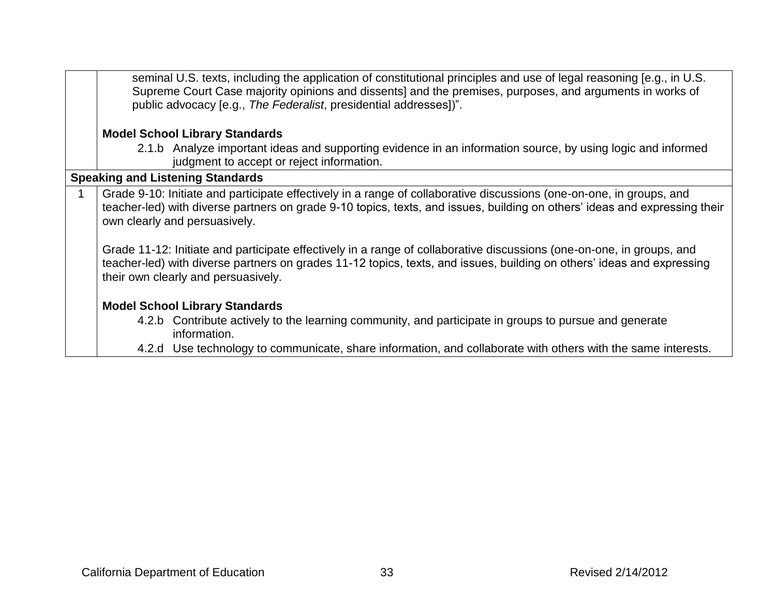| seminal U.S. texts, including the application of constitutional principles and use of legal reasoning [e.g., in U.S.<br>Supreme Court Case majority opinions and dissents] and the premises, purposes, and arguments in works of<br>public advocacy [e.g., The Federalist, presidential addresses])". |
|-------------------------------------------------------------------------------------------------------------------------------------------------------------------------------------------------------------------------------------------------------------------------------------------------------|
|                                                                                                                                                                                                                                                                                                       |
| <b>Model School Library Standards</b>                                                                                                                                                                                                                                                                 |
| 2.1.b Analyze important ideas and supporting evidence in an information source, by using logic and informed<br>judgment to accept or reject information.                                                                                                                                              |
| <b>Speaking and Listening Standards</b>                                                                                                                                                                                                                                                               |
| Grade 9-10: Initiate and participate effectively in a range of collaborative discussions (one-on-one, in groups, and<br>teacher-led) with diverse partners on grade 9-10 topics, texts, and issues, building on others' ideas and expressing their<br>own clearly and persuasively.                   |
| Grade 11-12: Initiate and participate effectively in a range of collaborative discussions (one-on-one, in groups, and<br>teacher-led) with diverse partners on grades 11-12 topics, texts, and issues, building on others' ideas and expressing<br>their own clearly and persuasively.                |
| <b>Model School Library Standards</b>                                                                                                                                                                                                                                                                 |
| 4.2.b Contribute actively to the learning community, and participate in groups to pursue and generate<br>information.                                                                                                                                                                                 |
| 4.2.d Use technology to communicate, share information, and collaborate with others with the same interests.                                                                                                                                                                                          |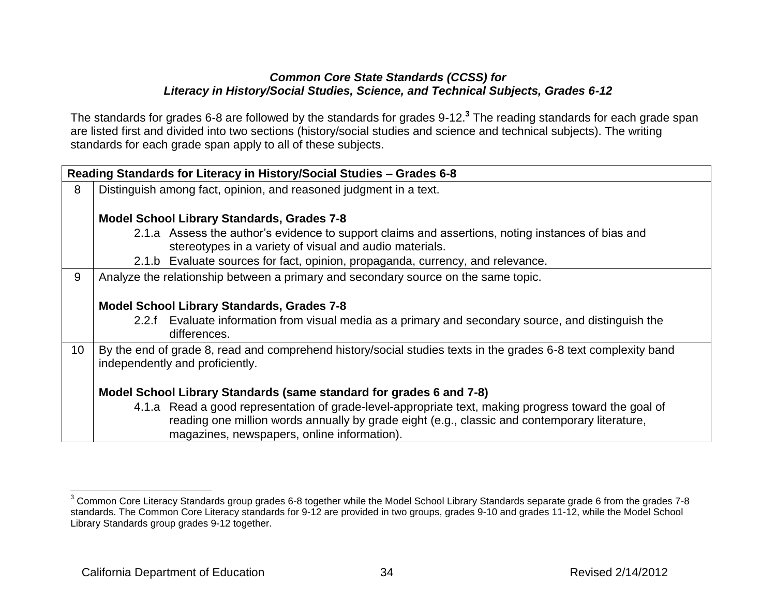#### *Common Core State Standards (CCSS) for Literacy in History/Social Studies, Science, and Technical Subjects, Grades 6-12*

The standards for grades 6-8 are followed by the standards for grades 9-12.**<sup>3</sup>** The reading standards for each grade span are listed first and divided into two sections (history/social studies and science and technical subjects). The writing standards for each grade span apply to all of these subjects.

|                 | Reading Standards for Literacy in History/Social Studies - Grades 6-8                                          |
|-----------------|----------------------------------------------------------------------------------------------------------------|
| 8               | Distinguish among fact, opinion, and reasoned judgment in a text.                                              |
|                 |                                                                                                                |
|                 | <b>Model School Library Standards, Grades 7-8</b>                                                              |
|                 | 2.1.a Assess the author's evidence to support claims and assertions, noting instances of bias and              |
|                 | stereotypes in a variety of visual and audio materials.                                                        |
|                 | 2.1.b Evaluate sources for fact, opinion, propaganda, currency, and relevance.                                 |
| 9               | Analyze the relationship between a primary and secondary source on the same topic.                             |
|                 |                                                                                                                |
|                 | <b>Model School Library Standards, Grades 7-8</b>                                                              |
|                 | 2.2.f Evaluate information from visual media as a primary and secondary source, and distinguish the            |
|                 | differences.                                                                                                   |
| 10 <sup>°</sup> | By the end of grade 8, read and comprehend history/social studies texts in the grades 6-8 text complexity band |
|                 | independently and proficiently.                                                                                |
|                 |                                                                                                                |
|                 | Model School Library Standards (same standard for grades 6 and 7-8)                                            |
|                 | 4.1.a Read a good representation of grade-level-appropriate text, making progress toward the goal of           |
|                 | reading one million words annually by grade eight (e.g., classic and contemporary literature,                  |
|                 | magazines, newspapers, online information).                                                                    |

 $\overline{a}$ 

<sup>&</sup>lt;sup>3</sup> Common Core Literacy Standards group grades 6-8 together while the Model School Library Standards separate grade 6 from the grades 7-8 standards. The Common Core Literacy standards for 9-12 are provided in two groups, grades 9-10 and grades 11-12, while the Model School Library Standards group grades 9-12 together.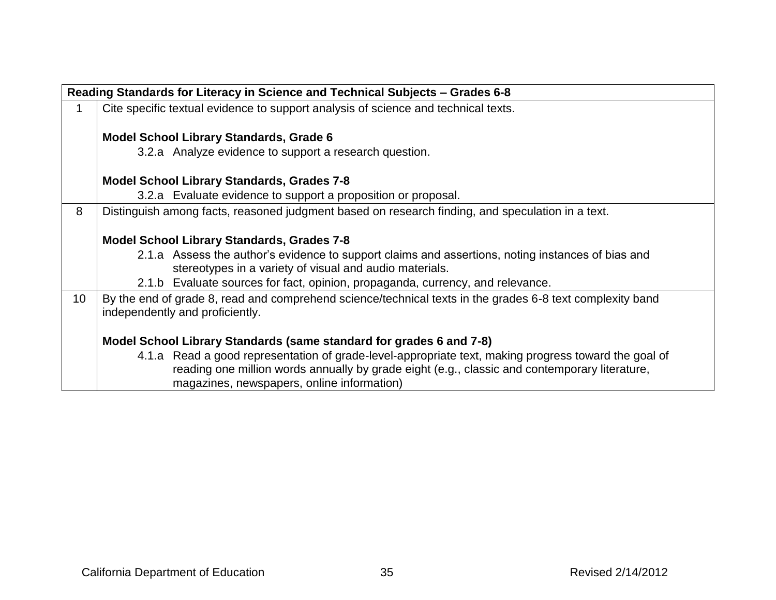|    | Reading Standards for Literacy in Science and Technical Subjects - Grades 6-8                                                                |
|----|----------------------------------------------------------------------------------------------------------------------------------------------|
|    | Cite specific textual evidence to support analysis of science and technical texts.                                                           |
|    | <b>Model School Library Standards, Grade 6</b>                                                                                               |
|    | 3.2.a Analyze evidence to support a research question.                                                                                       |
|    | <b>Model School Library Standards, Grades 7-8</b>                                                                                            |
|    | 3.2.a Evaluate evidence to support a proposition or proposal.                                                                                |
| 8  | Distinguish among facts, reasoned judgment based on research finding, and speculation in a text.                                             |
|    | <b>Model School Library Standards, Grades 7-8</b>                                                                                            |
|    | 2.1.a Assess the author's evidence to support claims and assertions, noting instances of bias and                                            |
|    | stereotypes in a variety of visual and audio materials.                                                                                      |
|    | 2.1.b Evaluate sources for fact, opinion, propaganda, currency, and relevance.                                                               |
| 10 | By the end of grade 8, read and comprehend science/technical texts in the grades 6-8 text complexity band<br>independently and proficiently. |
|    | Model School Library Standards (same standard for grades 6 and 7-8)                                                                          |
|    | 4.1.a Read a good representation of grade-level-appropriate text, making progress toward the goal of                                         |
|    | reading one million words annually by grade eight (e.g., classic and contemporary literature,<br>magazines, newspapers, online information)  |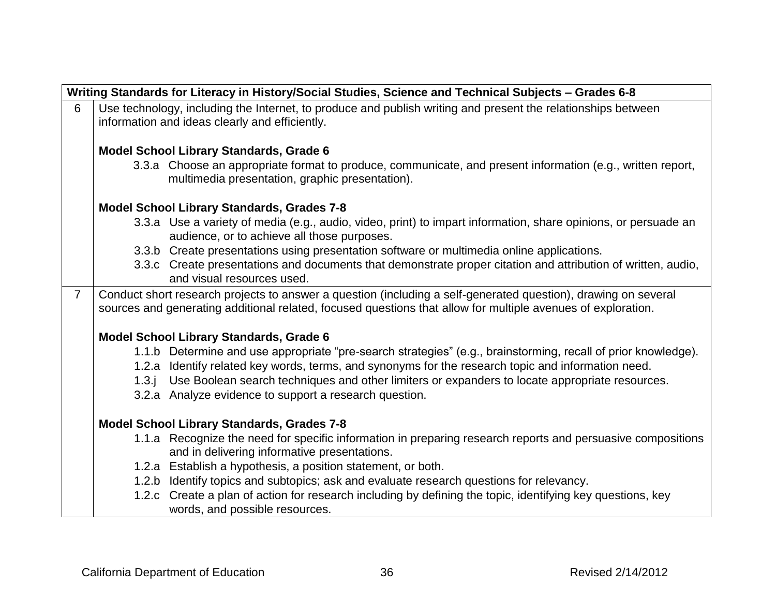|                | Writing Standards for Literacy in History/Social Studies, Science and Technical Subjects - Grades 6-8 |                                                                                                                                                                                                                                |  |
|----------------|-------------------------------------------------------------------------------------------------------|--------------------------------------------------------------------------------------------------------------------------------------------------------------------------------------------------------------------------------|--|
| 6              |                                                                                                       | Use technology, including the Internet, to produce and publish writing and present the relationships between<br>information and ideas clearly and efficiently.                                                                 |  |
|                |                                                                                                       | <b>Model School Library Standards, Grade 6</b>                                                                                                                                                                                 |  |
|                |                                                                                                       | 3.3.a Choose an appropriate format to produce, communicate, and present information (e.g., written report,<br>multimedia presentation, graphic presentation).                                                                  |  |
|                |                                                                                                       | <b>Model School Library Standards, Grades 7-8</b>                                                                                                                                                                              |  |
|                |                                                                                                       | 3.3.a Use a variety of media (e.g., audio, video, print) to impart information, share opinions, or persuade an<br>audience, or to achieve all those purposes.                                                                  |  |
|                |                                                                                                       | 3.3.b Create presentations using presentation software or multimedia online applications.                                                                                                                                      |  |
|                |                                                                                                       | 3.3.c Create presentations and documents that demonstrate proper citation and attribution of written, audio,<br>and visual resources used.                                                                                     |  |
| $\overline{7}$ |                                                                                                       | Conduct short research projects to answer a question (including a self-generated question), drawing on several<br>sources and generating additional related, focused questions that allow for multiple avenues of exploration. |  |
|                |                                                                                                       | <b>Model School Library Standards, Grade 6</b>                                                                                                                                                                                 |  |
|                |                                                                                                       | 1.1.b Determine and use appropriate "pre-search strategies" (e.g., brainstorming, recall of prior knowledge).                                                                                                                  |  |
|                |                                                                                                       | 1.2.a Identify related key words, terms, and synonyms for the research topic and information need.                                                                                                                             |  |
|                |                                                                                                       | 1.3.j Use Boolean search techniques and other limiters or expanders to locate appropriate resources.                                                                                                                           |  |
|                |                                                                                                       | 3.2.a Analyze evidence to support a research question.                                                                                                                                                                         |  |
|                |                                                                                                       | <b>Model School Library Standards, Grades 7-8</b>                                                                                                                                                                              |  |
|                |                                                                                                       | 1.1.a Recognize the need for specific information in preparing research reports and persuasive compositions<br>and in delivering informative presentations.                                                                    |  |
|                |                                                                                                       | 1.2.a Establish a hypothesis, a position statement, or both.                                                                                                                                                                   |  |
|                |                                                                                                       | 1.2.b Identify topics and subtopics; ask and evaluate research questions for relevancy.                                                                                                                                        |  |
|                |                                                                                                       | 1.2.c Create a plan of action for research including by defining the topic, identifying key questions, key<br>words, and possible resources.                                                                                   |  |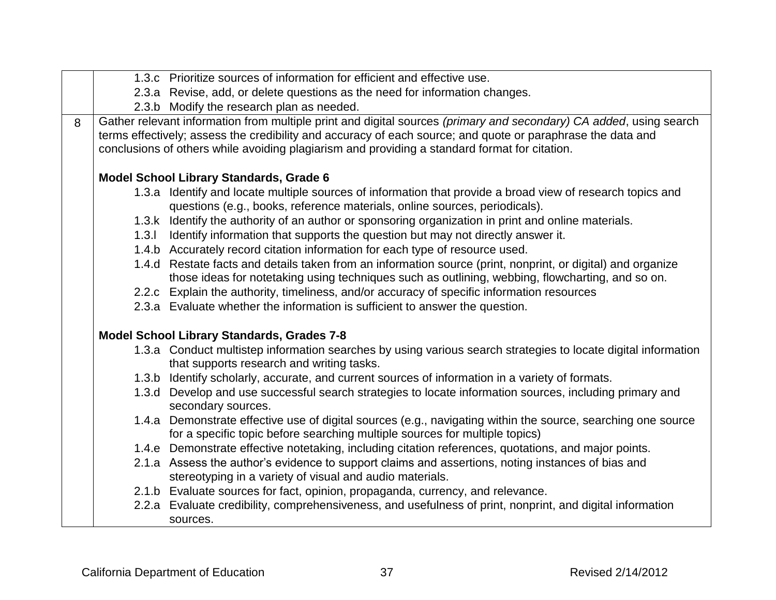|   | 1.3.c Prioritize sources of information for efficient and effective use.                                                                                                                                                                                                                                                           |
|---|------------------------------------------------------------------------------------------------------------------------------------------------------------------------------------------------------------------------------------------------------------------------------------------------------------------------------------|
|   | 2.3.a Revise, add, or delete questions as the need for information changes.                                                                                                                                                                                                                                                        |
|   | 2.3.b Modify the research plan as needed.                                                                                                                                                                                                                                                                                          |
| 8 | Gather relevant information from multiple print and digital sources (primary and secondary) CA added, using search<br>terms effectively; assess the credibility and accuracy of each source; and quote or paraphrase the data and<br>conclusions of others while avoiding plagiarism and providing a standard format for citation. |
|   | Model School Library Standards, Grade 6                                                                                                                                                                                                                                                                                            |
|   | 1.3.a Identify and locate multiple sources of information that provide a broad view of research topics and<br>questions (e.g., books, reference materials, online sources, periodicals).                                                                                                                                           |
|   | 1.3.k Identify the authority of an author or sponsoring organization in print and online materials.                                                                                                                                                                                                                                |
|   | 1.3.1 Identify information that supports the question but may not directly answer it.                                                                                                                                                                                                                                              |
|   | 1.4.b Accurately record citation information for each type of resource used.                                                                                                                                                                                                                                                       |
|   | 1.4.d Restate facts and details taken from an information source (print, nonprint, or digital) and organize<br>those ideas for notetaking using techniques such as outlining, webbing, flowcharting, and so on.                                                                                                                    |
|   | 2.2.c Explain the authority, timeliness, and/or accuracy of specific information resources                                                                                                                                                                                                                                         |
|   | 2.3.a Evaluate whether the information is sufficient to answer the question.                                                                                                                                                                                                                                                       |
|   | <b>Model School Library Standards, Grades 7-8</b>                                                                                                                                                                                                                                                                                  |
|   | 1.3.a Conduct multistep information searches by using various search strategies to locate digital information<br>that supports research and writing tasks.                                                                                                                                                                         |
|   | 1.3.b Identify scholarly, accurate, and current sources of information in a variety of formats.                                                                                                                                                                                                                                    |
|   | 1.3.d Develop and use successful search strategies to locate information sources, including primary and<br>secondary sources.                                                                                                                                                                                                      |
|   | 1.4.a Demonstrate effective use of digital sources (e.g., navigating within the source, searching one source<br>for a specific topic before searching multiple sources for multiple topics)                                                                                                                                        |
|   | 1.4.e Demonstrate effective notetaking, including citation references, quotations, and major points.                                                                                                                                                                                                                               |
|   | 2.1.a Assess the author's evidence to support claims and assertions, noting instances of bias and<br>stereotyping in a variety of visual and audio materials.                                                                                                                                                                      |
|   | 2.1.b Evaluate sources for fact, opinion, propaganda, currency, and relevance.                                                                                                                                                                                                                                                     |
|   | 2.2.a Evaluate credibility, comprehensiveness, and usefulness of print, nonprint, and digital information<br>sources.                                                                                                                                                                                                              |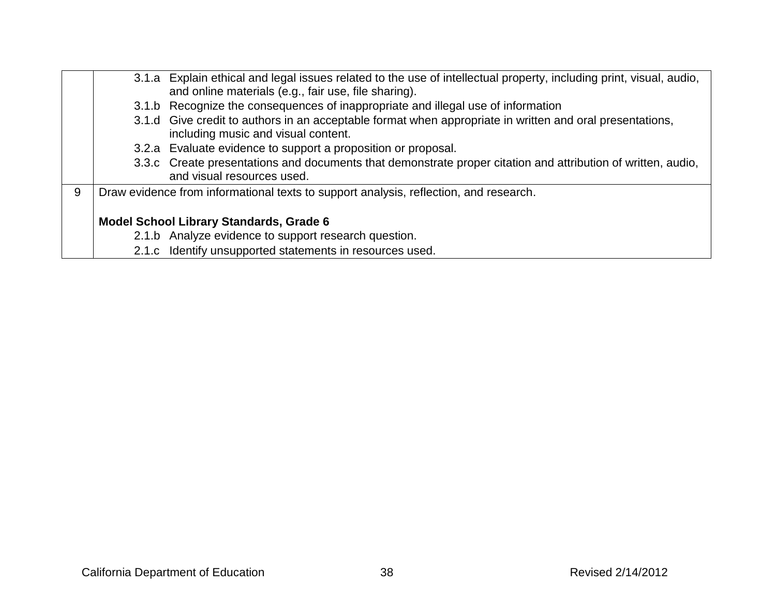|   | 3.1.a Explain ethical and legal issues related to the use of intellectual property, including print, visual, audio,                             |
|---|-------------------------------------------------------------------------------------------------------------------------------------------------|
|   | and online materials (e.g., fair use, file sharing).                                                                                            |
|   | 3.1.b Recognize the consequences of inappropriate and illegal use of information                                                                |
|   | 3.1.d Give credit to authors in an acceptable format when appropriate in written and oral presentations,<br>including music and visual content. |
|   | 3.2.a Evaluate evidence to support a proposition or proposal.                                                                                   |
|   | 3.3.c Create presentations and documents that demonstrate proper citation and attribution of written, audio,<br>and visual resources used.      |
| 9 | Draw evidence from informational texts to support analysis, reflection, and research.                                                           |
|   | <b>Model School Library Standards, Grade 6</b>                                                                                                  |
|   | 2.1.b Analyze evidence to support research question.                                                                                            |
|   | 2.1.c Identify unsupported statements in resources used.                                                                                        |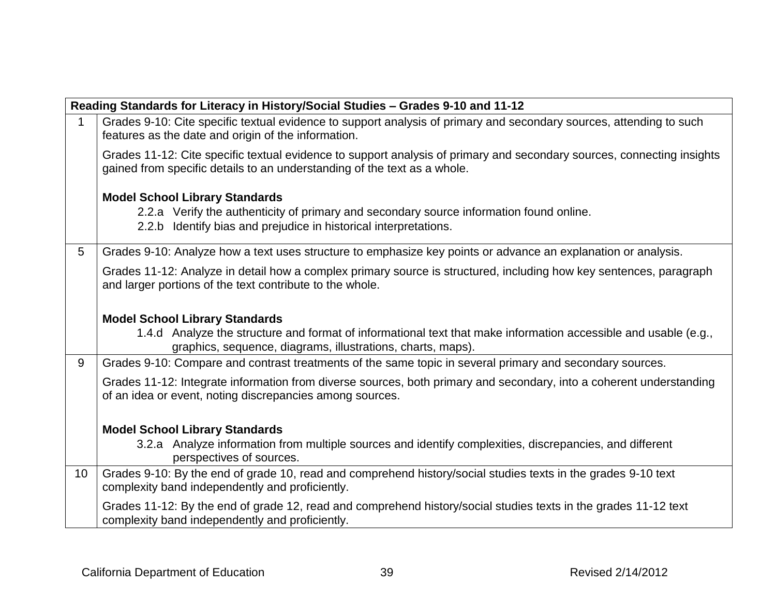|             | Reading Standards for Literacy in History/Social Studies - Grades 9-10 and 11-12                                                                                                                   |  |  |
|-------------|----------------------------------------------------------------------------------------------------------------------------------------------------------------------------------------------------|--|--|
| $\mathbf 1$ | Grades 9-10: Cite specific textual evidence to support analysis of primary and secondary sources, attending to such<br>features as the date and origin of the information.                         |  |  |
|             | Grades 11-12: Cite specific textual evidence to support analysis of primary and secondary sources, connecting insights<br>gained from specific details to an understanding of the text as a whole. |  |  |
|             | <b>Model School Library Standards</b>                                                                                                                                                              |  |  |
|             | 2.2.a Verify the authenticity of primary and secondary source information found online.                                                                                                            |  |  |
|             | 2.2.b Identify bias and prejudice in historical interpretations.                                                                                                                                   |  |  |
| 5           | Grades 9-10: Analyze how a text uses structure to emphasize key points or advance an explanation or analysis.                                                                                      |  |  |
|             | Grades 11-12: Analyze in detail how a complex primary source is structured, including how key sentences, paragraph<br>and larger portions of the text contribute to the whole.                     |  |  |
|             | <b>Model School Library Standards</b>                                                                                                                                                              |  |  |
|             | 1.4.d Analyze the structure and format of informational text that make information accessible and usable (e.g.,<br>graphics, sequence, diagrams, illustrations, charts, maps).                     |  |  |
| 9           | Grades 9-10: Compare and contrast treatments of the same topic in several primary and secondary sources.                                                                                           |  |  |
|             | Grades 11-12: Integrate information from diverse sources, both primary and secondary, into a coherent understanding<br>of an idea or event, noting discrepancies among sources.                    |  |  |
|             | <b>Model School Library Standards</b>                                                                                                                                                              |  |  |
|             | 3.2.a Analyze information from multiple sources and identify complexities, discrepancies, and different<br>perspectives of sources.                                                                |  |  |
| 10          | Grades 9-10: By the end of grade 10, read and comprehend history/social studies texts in the grades 9-10 text<br>complexity band independently and proficiently.                                   |  |  |
|             | Grades 11-12: By the end of grade 12, read and comprehend history/social studies texts in the grades 11-12 text<br>complexity band independently and proficiently.                                 |  |  |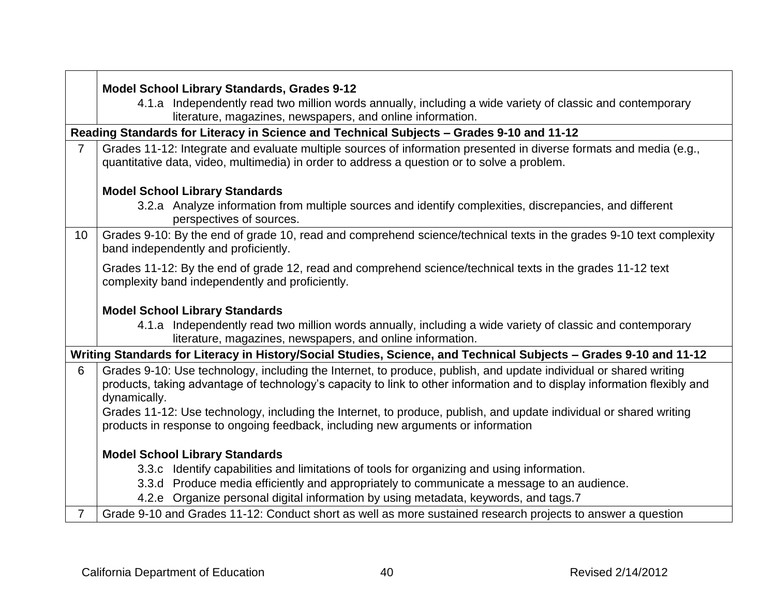|                | Model School Library Standards, Grades 9-12                                                                                                                                                                                                                   |
|----------------|---------------------------------------------------------------------------------------------------------------------------------------------------------------------------------------------------------------------------------------------------------------|
|                | 4.1.a Independently read two million words annually, including a wide variety of classic and contemporary<br>literature, magazines, newspapers, and online information.                                                                                       |
|                | Reading Standards for Literacy in Science and Technical Subjects - Grades 9-10 and 11-12                                                                                                                                                                      |
| $\overline{7}$ | Grades 11-12: Integrate and evaluate multiple sources of information presented in diverse formats and media (e.g.,<br>quantitative data, video, multimedia) in order to address a question or to solve a problem.                                             |
|                | <b>Model School Library Standards</b>                                                                                                                                                                                                                         |
|                | 3.2.a Analyze information from multiple sources and identify complexities, discrepancies, and different<br>perspectives of sources.                                                                                                                           |
| 10             | Grades 9-10: By the end of grade 10, read and comprehend science/technical texts in the grades 9-10 text complexity<br>band independently and proficiently.                                                                                                   |
|                | Grades 11-12: By the end of grade 12, read and comprehend science/technical texts in the grades 11-12 text<br>complexity band independently and proficiently.                                                                                                 |
|                | <b>Model School Library Standards</b>                                                                                                                                                                                                                         |
|                | 4.1.a Independently read two million words annually, including a wide variety of classic and contemporary<br>literature, magazines, newspapers, and online information.                                                                                       |
|                | Writing Standards for Literacy in History/Social Studies, Science, and Technical Subjects - Grades 9-10 and 11-12                                                                                                                                             |
| 6              | Grades 9-10: Use technology, including the Internet, to produce, publish, and update individual or shared writing<br>products, taking advantage of technology's capacity to link to other information and to display information flexibly and<br>dynamically. |
|                | Grades 11-12: Use technology, including the Internet, to produce, publish, and update individual or shared writing                                                                                                                                            |
|                | products in response to ongoing feedback, including new arguments or information                                                                                                                                                                              |
|                | <b>Model School Library Standards</b>                                                                                                                                                                                                                         |
|                | 3.3.c Identify capabilities and limitations of tools for organizing and using information.                                                                                                                                                                    |
|                | 3.3.d Produce media efficiently and appropriately to communicate a message to an audience.                                                                                                                                                                    |
|                | 4.2.e Organize personal digital information by using metadata, keywords, and tags.7                                                                                                                                                                           |
| $\mathbf{7}$   | Grade 9-10 and Grades 11-12: Conduct short as well as more sustained research projects to answer a question                                                                                                                                                   |

 $\sqrt{2}$ 

┑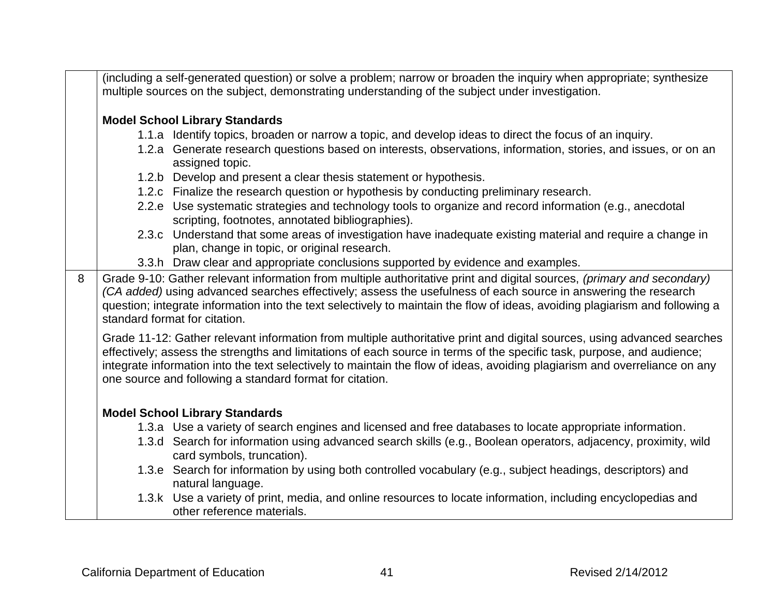|   | (including a self-generated question) or solve a problem; narrow or broaden the inquiry when appropriate; synthesize<br>multiple sources on the subject, demonstrating understanding of the subject under investigation.                                                                                                                                                                                                                    |                                                                                                                                                              |  |
|---|---------------------------------------------------------------------------------------------------------------------------------------------------------------------------------------------------------------------------------------------------------------------------------------------------------------------------------------------------------------------------------------------------------------------------------------------|--------------------------------------------------------------------------------------------------------------------------------------------------------------|--|
|   | <b>Model School Library Standards</b>                                                                                                                                                                                                                                                                                                                                                                                                       |                                                                                                                                                              |  |
|   |                                                                                                                                                                                                                                                                                                                                                                                                                                             | 1.1.a Identify topics, broaden or narrow a topic, and develop ideas to direct the focus of an inquiry.                                                       |  |
|   |                                                                                                                                                                                                                                                                                                                                                                                                                                             | 1.2.a Generate research questions based on interests, observations, information, stories, and issues, or on an<br>assigned topic.                            |  |
|   |                                                                                                                                                                                                                                                                                                                                                                                                                                             | 1.2.b Develop and present a clear thesis statement or hypothesis.                                                                                            |  |
|   |                                                                                                                                                                                                                                                                                                                                                                                                                                             | 1.2.c Finalize the research question or hypothesis by conducting preliminary research.                                                                       |  |
|   |                                                                                                                                                                                                                                                                                                                                                                                                                                             | 2.2.e Use systematic strategies and technology tools to organize and record information (e.g., anecdotal<br>scripting, footnotes, annotated bibliographies). |  |
|   |                                                                                                                                                                                                                                                                                                                                                                                                                                             | 2.3.c Understand that some areas of investigation have inadequate existing material and require a change in<br>plan, change in topic, or original research.  |  |
|   |                                                                                                                                                                                                                                                                                                                                                                                                                                             | 3.3.h Draw clear and appropriate conclusions supported by evidence and examples.                                                                             |  |
| 8 | Grade 9-10: Gather relevant information from multiple authoritative print and digital sources, (primary and secondary)<br>(CA added) using advanced searches effectively; assess the usefulness of each source in answering the research<br>question; integrate information into the text selectively to maintain the flow of ideas, avoiding plagiarism and following a<br>standard format for citation.                                   |                                                                                                                                                              |  |
|   | Grade 11-12: Gather relevant information from multiple authoritative print and digital sources, using advanced searches<br>effectively; assess the strengths and limitations of each source in terms of the specific task, purpose, and audience;<br>integrate information into the text selectively to maintain the flow of ideas, avoiding plagiarism and overreliance on any<br>one source and following a standard format for citation. |                                                                                                                                                              |  |
|   | <b>Model School Library Standards</b>                                                                                                                                                                                                                                                                                                                                                                                                       |                                                                                                                                                              |  |
|   |                                                                                                                                                                                                                                                                                                                                                                                                                                             | 1.3.a Use a variety of search engines and licensed and free databases to locate appropriate information.                                                     |  |
|   |                                                                                                                                                                                                                                                                                                                                                                                                                                             | 1.3.d Search for information using advanced search skills (e.g., Boolean operators, adjacency, proximity, wild<br>card symbols, truncation).                 |  |
|   |                                                                                                                                                                                                                                                                                                                                                                                                                                             | 1.3.e Search for information by using both controlled vocabulary (e.g., subject headings, descriptors) and<br>natural language.                              |  |
|   |                                                                                                                                                                                                                                                                                                                                                                                                                                             | 1.3.k Use a variety of print, media, and online resources to locate information, including encyclopedias and<br>other reference materials.                   |  |